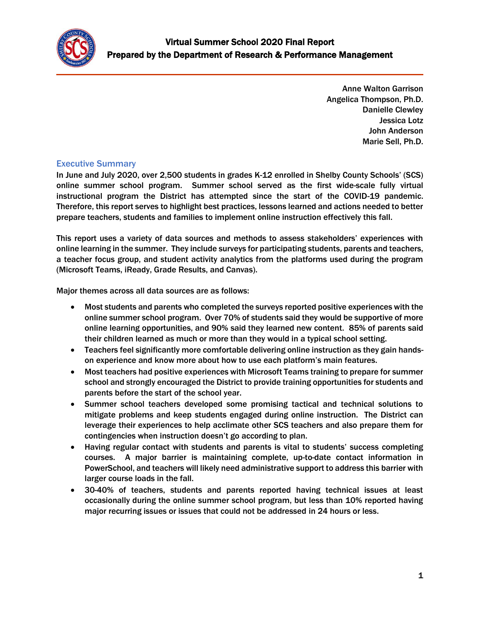

Anne Walton Garrison Angelica Thompson, Ph.D. Danielle Clewley Jessica Lotz John Anderson Marie Sell, Ph.D.

## Executive Summary

In June and July 2020, over 2,500 students in grades K-12 enrolled in Shelby County Schools' (SCS) online summer school program. Summer school served as the first wide-scale fully virtual instructional program the District has attempted since the start of the COVID-19 pandemic. Therefore, this report serves to highlight best practices, lessons learned and actions needed to better prepare teachers, students and families to implement online instruction effectively this fall.

This report uses a variety of data sources and methods to assess stakeholders' experiences with online learning in the summer. They include surveys for participating students, parents and teachers, a teacher focus group, and student activity analytics from the platforms used during the program (Microsoft Teams, iReady, Grade Results, and Canvas).

Major themes across all data sources are as follows:

- Most students and parents who completed the surveys reported positive experiences with the online summer school program. Over 70% of students said they would be supportive of more online learning opportunities, and 90% said they learned new content. 85% of parents said their children learned as much or more than they would in a typical school setting.
- Teachers feel significantly more comfortable delivering online instruction as they gain handson experience and know more about how to use each platform's main features.
- Most teachers had positive experiences with Microsoft Teams training to prepare for summer school and strongly encouraged the District to provide training opportunities for students and parents before the start of the school year.
- Summer school teachers developed some promising tactical and technical solutions to mitigate problems and keep students engaged during online instruction. The District can leverage their experiences to help acclimate other SCS teachers and also prepare them for contingencies when instruction doesn't go according to plan.
- Having regular contact with students and parents is vital to students' success completing courses. A major barrier is maintaining complete, up-to-date contact information in PowerSchool, and teachers will likely need administrative support to address this barrier with larger course loads in the fall.
- 30-40% of teachers, students and parents reported having technical issues at least occasionally during the online summer school program, but less than 10% reported having major recurring issues or issues that could not be addressed in 24 hours or less.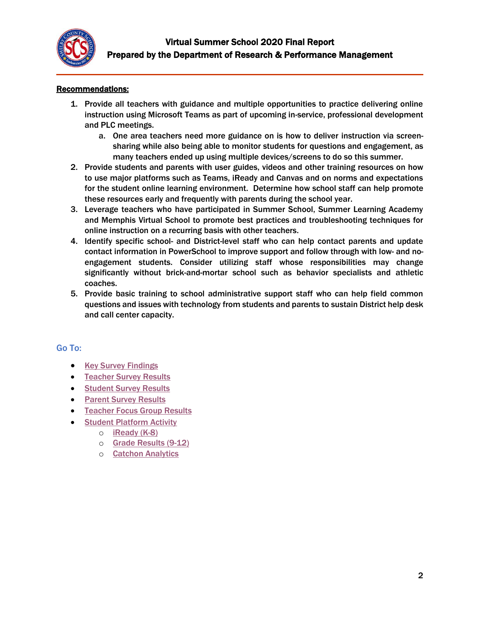

### Recommendations:

- 1. Provide all teachers with guidance and multiple opportunities to practice delivering online instruction using Microsoft Teams as part of upcoming in-service, professional development and PLC meetings.
	- a. One area teachers need more guidance on is how to deliver instruction via screensharing while also being able to monitor students for questions and engagement, as many teachers ended up using multiple devices/screens to do so this summer.
- 2. Provide students and parents with user guides, videos and other training resources on how to use major platforms such as Teams, iReady and Canvas and on norms and expectations for the student online learning environment. Determine how school staff can help promote these resources early and frequently with parents during the school year.
- 3. Leverage teachers who have participated in Summer School, Summer Learning Academy and Memphis Virtual School to promote best practices and troubleshooting techniques for online instruction on a recurring basis with other teachers.
- 4. Identify specific school- and District-level staff who can help contact parents and update contact information in PowerSchool to improve support and follow through with low- and noengagement students. Consider utilizing staff whose responsibilities may change significantly without brick-and-mortar school such as behavior specialists and athletic coaches.
- 5. Provide basic training to school administrative support staff who can help field common questions and issues with technology from students and parents to sustain District help desk and call center capacity.

### Go To:

- [Key Survey](#page-2-0) Findings
- **[Teacher Survey Results](#page-3-0)**
- **[Student Survey Results](#page-22-0)**
- **•** [Parent Survey Results](#page-34-0)
- **[Teacher Focus Group Results](#page-43-0)**
- **[Student Platform Activity](#page-51-0)** 
	- o [iReady \(K-8\)](#page-51-1)
	- o [Grade Results \(9-12\)](#page-54-0)
	- o [Catchon Analytics](#page-59-0)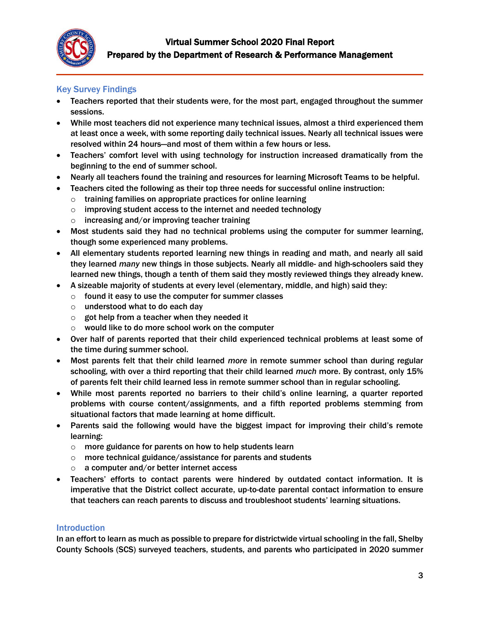

## <span id="page-2-0"></span>Key Survey Findings

- Teachers reported that their students were, for the most part, engaged throughout the summer sessions.
- While most teachers did not experience many technical issues, almost a third experienced them at least once a week, with some reporting daily technical issues. Nearly all technical issues were resolved within 24 hours—and most of them within a few hours or less.
- Teachers' comfort level with using technology for instruction increased dramatically from the beginning to the end of summer school.
- Nearly all teachers found the training and resources for learning Microsoft Teams to be helpful.
- Teachers cited the following as their top three needs for successful online instruction:
	- $\circ$  training families on appropriate practices for online learning
	- $\circ$  improving student access to the internet and needed technology
	- $\circ$  increasing and/or improving teacher training
- Most students said they had no technical problems using the computer for summer learning, though some experienced many problems.
- All elementary students reported learning new things in reading and math, and nearly all said they learned *many* new things in those subjects. Nearly all middle- and high-schoolers said they learned new things, though a tenth of them said they mostly reviewed things they already knew.
- A sizeable majority of students at every level (elementary, middle, and high) said they:
	- o found it easy to use the computer for summer classes
		- $\circ$  understood what to do each day
		- $\circ$  got help from a teacher when they needed it
		- o would like to do more school work on the computer
- Over half of parents reported that their child experienced technical problems at least some of the time during summer school.
- Most parents felt that their child learned *more* in remote summer school than during regular schooling, with over a third reporting that their child learned *much* more. By contrast, only 15% of parents felt their child learned less in remote summer school than in regular schooling.
- While most parents reported no barriers to their child's online learning, a quarter reported problems with course content/assignments, and a fifth reported problems stemming from situational factors that made learning at home difficult.
- Parents said the following would have the biggest impact for improving their child's remote learning:
	- o more guidance for parents on how to help students learn
	- o more technical guidance/assistance for parents and students
	- o a computer and/or better internet access
- Teachers' efforts to contact parents were hindered by outdated contact information. It is imperative that the District collect accurate, up-to-date parental contact information to ensure that teachers can reach parents to discuss and troubleshoot students' learning situations.

### **Introduction**

In an effort to learn as much as possible to prepare for districtwide virtual schooling in the fall, Shelby County Schools (SCS) surveyed teachers, students, and parents who participated in 2020 summer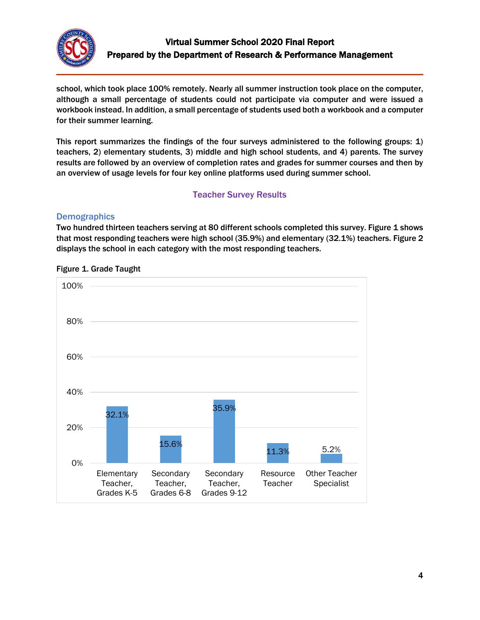

school, which took place 100% remotely. Nearly all summer instruction took place on the computer, although a small percentage of students could not participate via computer and were issued a workbook instead. In addition, a small percentage of students used both a workbook and a computer for their summer learning.

This report summarizes the findings of the four surveys administered to the following groups: 1) teachers, 2) elementary students, 3) middle and high school students, and 4) parents. The survey results are followed by an overview of completion rates and grades for summer courses and then by an overview of usage levels for four key online platforms used during summer school.

## Teacher Survey Results

## <span id="page-3-0"></span>**Demographics**

Two hundred thirteen teachers serving at 80 different schools completed this survey. Figure 1 shows that most responding teachers were high school (35.9%) and elementary (32.1%) teachers. Figure 2 displays the school in each category with the most responding teachers.



Figure 1. Grade Taught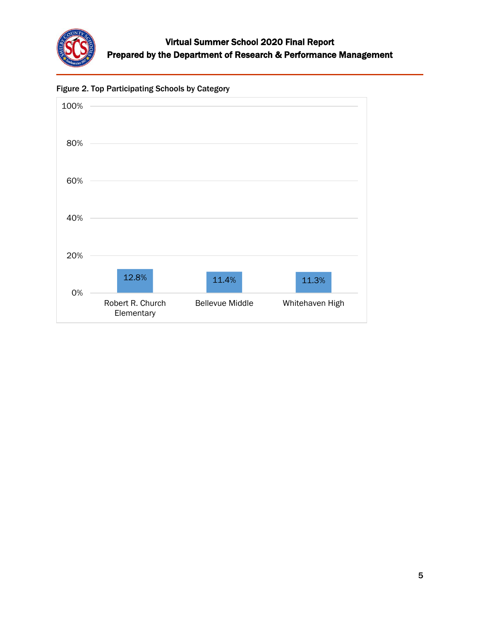



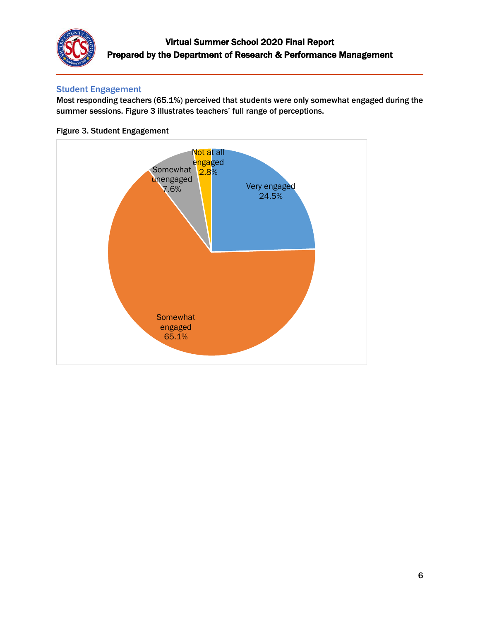

## Student Engagement

Most responding teachers (65.1%) perceived that students were only somewhat engaged during the summer sessions. Figure 3 illustrates teachers' full range of perceptions.



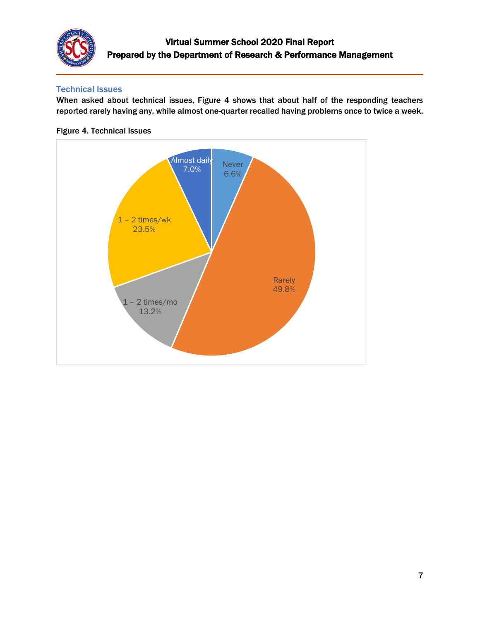

## Technical Issues

When asked about technical issues, Figure 4 shows that about half of the responding teachers reported rarely having any, while almost one-quarter recalled having problems once to twice a week.



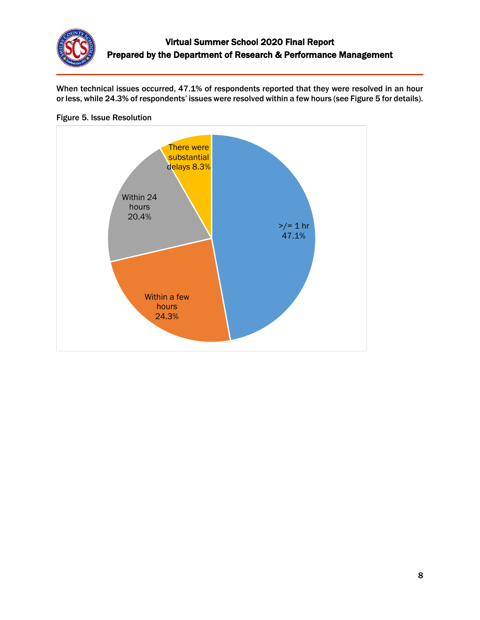

When technical issues occurred, 47.1% of respondents reported that they were resolved in an hour or less, while 24.3% of respondents' issues were resolved within a few hours (see Figure 5 for details).



#### Figure 5. Issue Resolution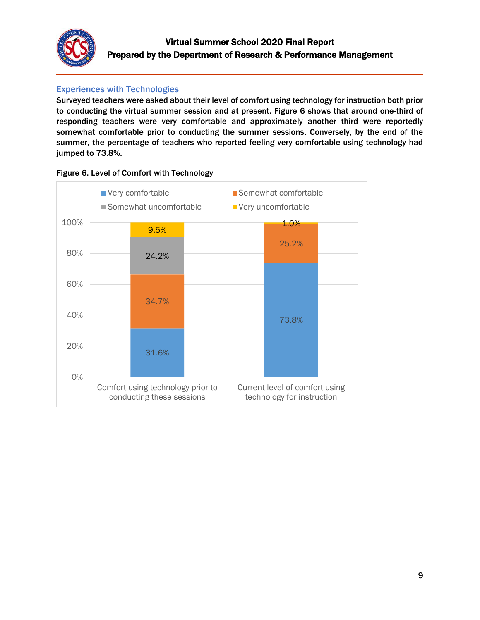

# Experiences with Technologies

Surveyed teachers were asked about their level of comfort using technology for instruction both prior to conducting the virtual summer session and at present. Figure 6 shows that around one-third of responding teachers were very comfortable and approximately another third were reportedly somewhat comfortable prior to conducting the summer sessions. Conversely, by the end of the summer, the percentage of teachers who reported feeling very comfortable using technology had jumped to 73.8%.



Figure 6. Level of Comfort with Technology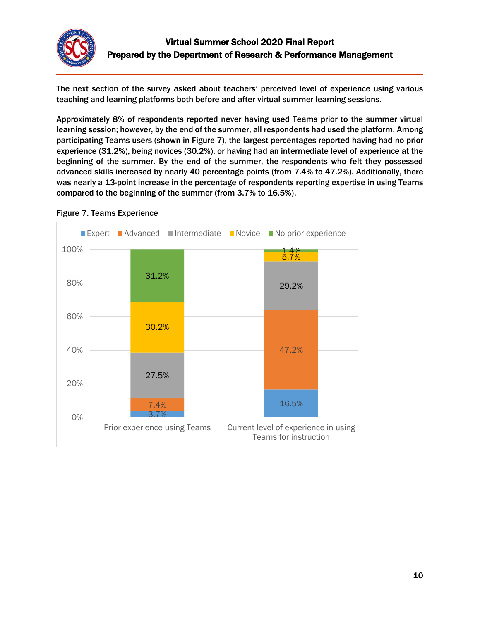

The next section of the survey asked about teachers' perceived level of experience using various teaching and learning platforms both before and after virtual summer learning sessions.

Approximately 8% of respondents reported never having used Teams prior to the summer virtual learning session; however, by the end of the summer, all respondents had used the platform. Among participating Teams users (shown in Figure 7), the largest percentages reported having had no prior experience (31.2%), being novices (30.2%), or having had an intermediate level of experience at the beginning of the summer. By the end of the summer, the respondents who felt they possessed advanced skills increased by nearly 40 percentage points (from 7.4% to 47.2%). Additionally, there was nearly a 13-point increase in the percentage of respondents reporting expertise in using Teams compared to the beginning of the summer (from 3.7% to 16.5%).



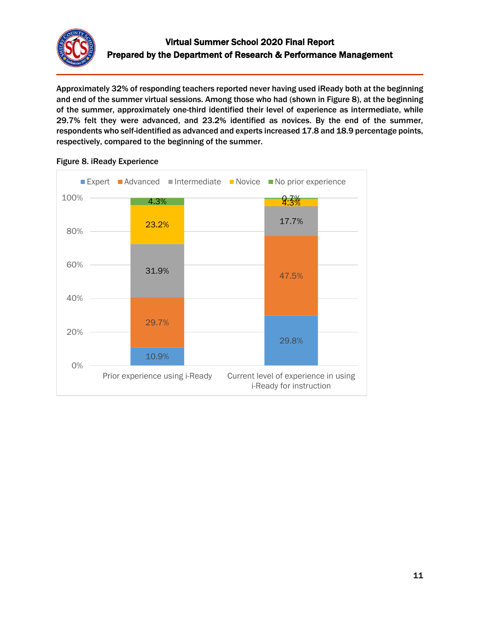

Approximately 32% of responding teachers reported never having used iReady both at the beginning and end of the summer virtual sessions. Among those who had (shown in Figure 8), at the beginning of the summer, approximately one-third identified their level of experience as intermediate, while 29.7% felt they were advanced, and 23.2% identified as novices. By the end of the summer, respondents who self-identified as advanced and experts increased 17.8 and 18.9 percentage points, respectively, compared to the beginning of the summer.



## Figure 8. iReady Experience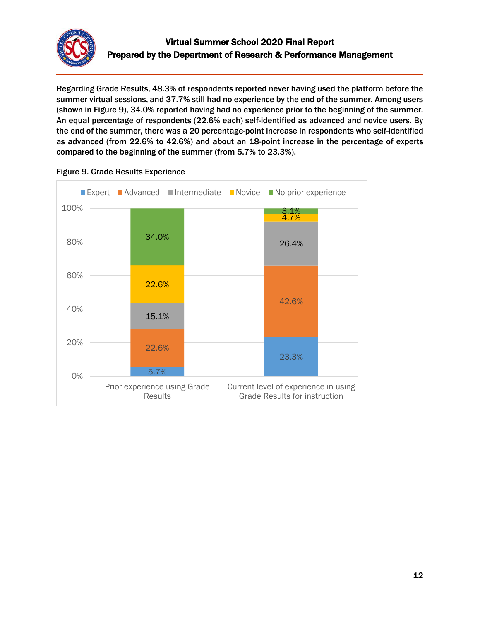

Regarding Grade Results, 48.3% of respondents reported never having used the platform before the summer virtual sessions, and 37.7% still had no experience by the end of the summer. Among users (shown in Figure 9), 34.0% reported having had no experience prior to the beginning of the summer. An equal percentage of respondents (22.6% each) self-identified as advanced and novice users. By the end of the summer, there was a 20 percentage-point increase in respondents who self-identified as advanced (from 22.6% to 42.6%) and about an 18-point increase in the percentage of experts compared to the beginning of the summer (from 5.7% to 23.3%).



Figure 9. Grade Results Experience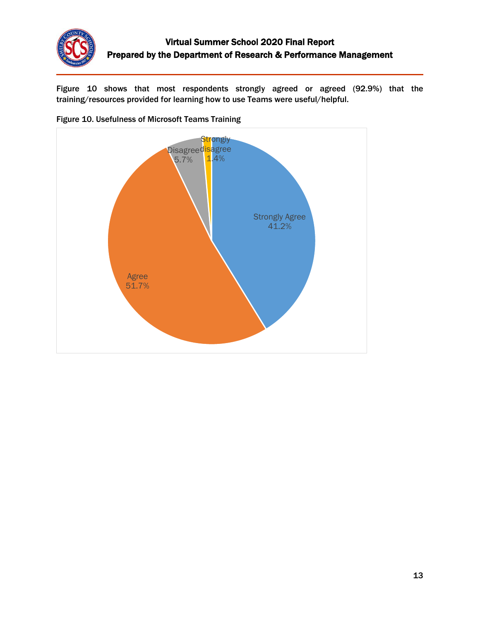

Figure 10 shows that most respondents strongly agreed or agreed (92.9%) that the training/resources provided for learning how to use Teams were useful/helpful.



Figure 10. Usefulness of Microsoft Teams Training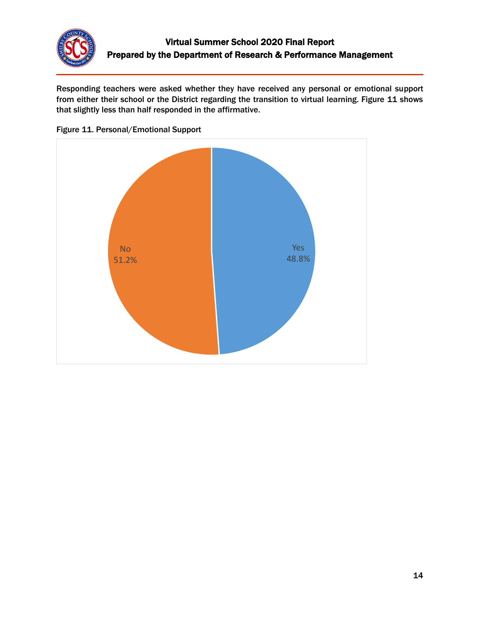

Responding teachers were asked whether they have received any personal or emotional support from either their school or the District regarding the transition to virtual learning. Figure 11 shows that slightly less than half responded in the affirmative.



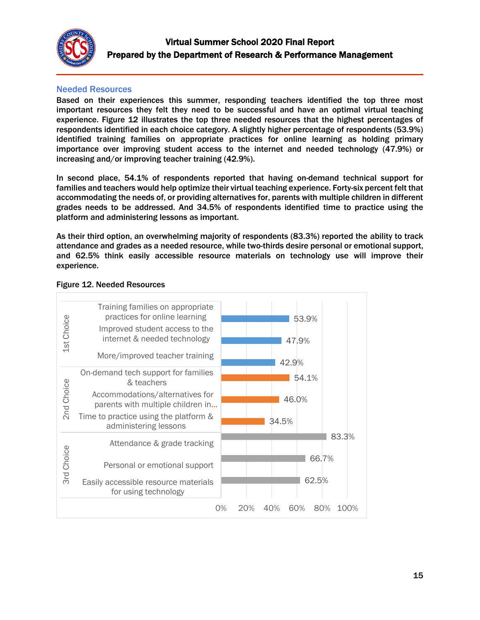

### Needed Resources

Based on their experiences this summer, responding teachers identified the top three most important resources they felt they need to be successful and have an optimal virtual teaching experience. Figure 12 illustrates the top three needed resources that the highest percentages of respondents identified in each choice category. A slightly higher percentage of respondents (53.9%) identified training families on appropriate practices for online learning as holding primary importance over improving student access to the internet and needed technology (47.9%) or increasing and/or improving teacher training (42.9%).

In second place, 54.1% of respondents reported that having on-demand technical support for families and teachers would help optimize their virtual teaching experience. Forty-six percent felt that accommodating the needs of, or providing alternatives for, parents with multiple children in different grades needs to be addressed. And 34.5% of respondents identified time to practice using the platform and administering lessons as important.

As their third option, an overwhelming majority of respondents (83.3%) reported the ability to track attendance and grades as a needed resource, while two-thirds desire personal or emotional support, and 62.5% think easily accessible resource materials on technology use will improve their experience.



#### Figure 12. Needed Resources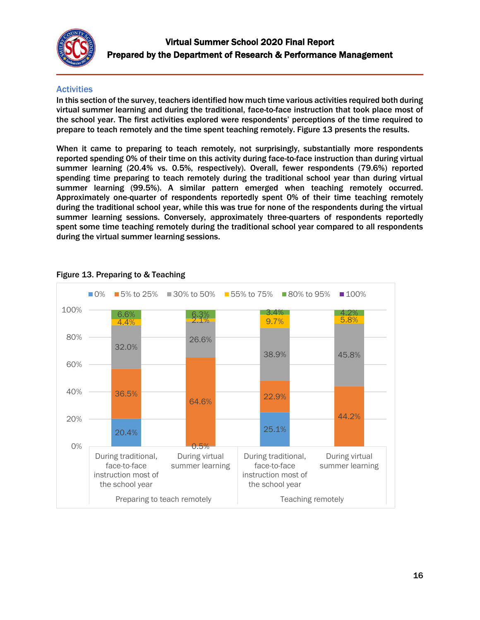

## **Activities**

In this section of the survey, teachers identified how much time various activities required both during virtual summer learning and during the traditional, face-to-face instruction that took place most of the school year. The first activities explored were respondents' perceptions of the time required to prepare to teach remotely and the time spent teaching remotely. Figure 13 presents the results.

When it came to preparing to teach remotely, not surprisingly, substantially more respondents reported spending 0% of their time on this activity during face-to-face instruction than during virtual summer learning (20.4% vs. 0.5%, respectively). Overall, fewer respondents (79.6%) reported spending time preparing to teach remotely during the traditional school year than during virtual summer learning (99.5%). A similar pattern emerged when teaching remotely occurred. Approximately one-quarter of respondents reportedly spent 0% of their time teaching remotely during the traditional school year, while this was true for none of the respondents during the virtual summer learning sessions. Conversely, approximately three-quarters of respondents reportedly spent some time teaching remotely during the traditional school year compared to all respondents during the virtual summer learning sessions.



## Figure 13. Preparing to & Teaching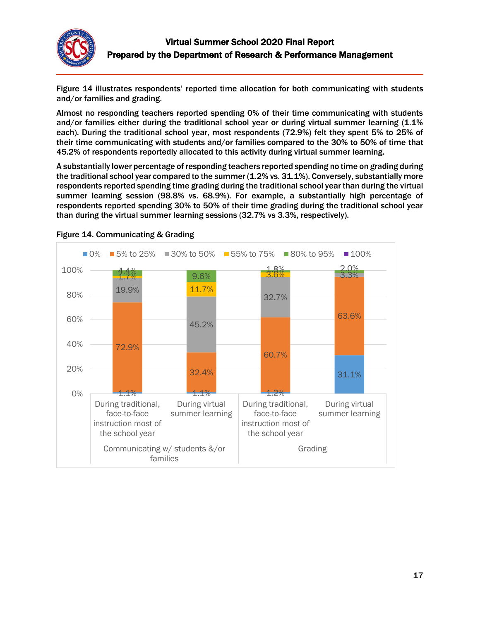

Figure 14 illustrates respondents' reported time allocation for both communicating with students and/or families and grading.

Almost no responding teachers reported spending 0% of their time communicating with students and/or families either during the traditional school year or during virtual summer learning (1.1%) each). During the traditional school year, most respondents (72.9%) felt they spent 5% to 25% of their time communicating with students and/or families compared to the 30% to 50% of time that 45.2% of respondents reportedly allocated to this activity during virtual summer learning.

A substantially lower percentage of responding teachers reported spending no time on grading during the traditional school year compared to the summer (1.2% vs. 31.1%). Conversely, substantially more respondents reported spending time grading during the traditional school year than during the virtual summer learning session (98.8% vs. 68.9%). For example, a substantially high percentage of respondents reported spending 30% to 50% of their time grading during the traditional school year than during the virtual summer learning sessions (32.7% vs 3.3%, respectively).



Figure 14. Communicating & Grading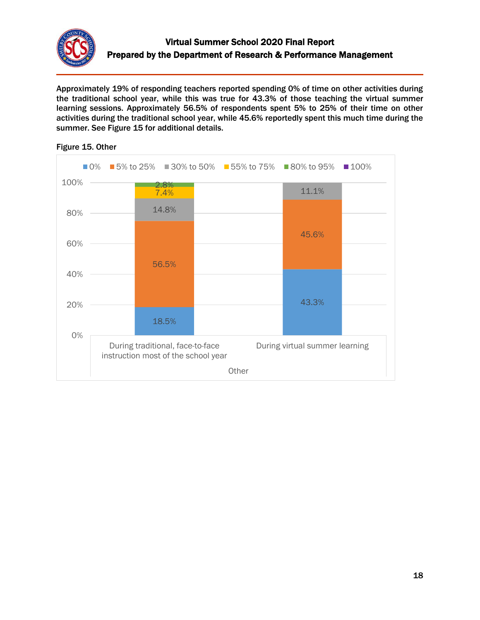

Approximately 19% of responding teachers reported spending 0% of time on other activities during the traditional school year, while this was true for 43.3% of those teaching the virtual summer learning sessions. Approximately 56.5% of respondents spent 5% to 25% of their time on other activities during the traditional school year, while 45.6% reportedly spent this much time during the summer. See Figure 15 for additional details.



#### Figure 15. Other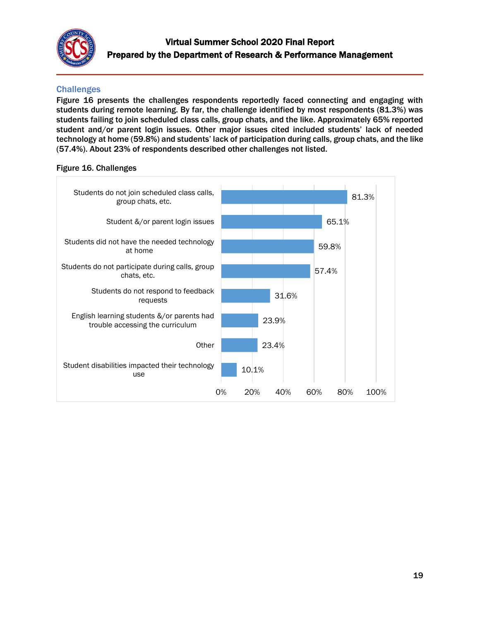

## **Challenges**

Figure 16 presents the challenges respondents reportedly faced connecting and engaging with students during remote learning. By far, the challenge identified by most respondents (81.3%) was students failing to join scheduled class calls, group chats, and the like. Approximately 65% reported student and/or parent login issues. Other major issues cited included students' lack of needed technology at home (59.8%) and students' lack of participation during calls, group chats, and the like (57.4%). About 23% of respondents described other challenges not listed.

#### Figure 16. Challenges

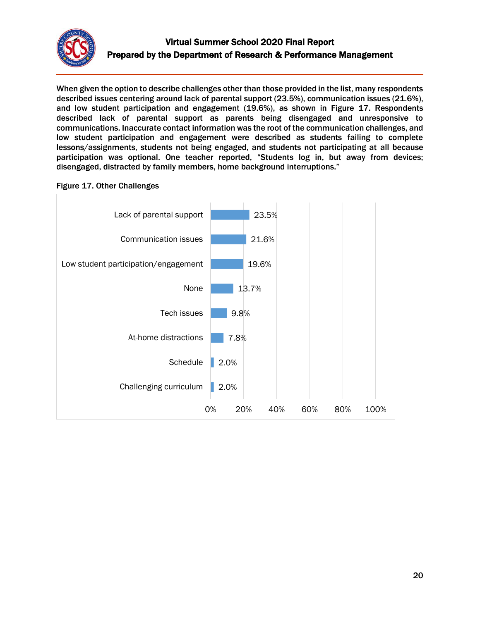

When given the option to describe challenges other than those provided in the list, many respondents described issues centering around lack of parental support (23.5%), communication issues (21.6%), and low student participation and engagement (19.6%), as shown in Figure 17. Respondents described lack of parental support as parents being disengaged and unresponsive to communications. Inaccurate contact information was the root of the communication challenges, and low student participation and engagement were described as students failing to complete lessons/assignments, students not being engaged, and students not participating at all because participation was optional. One teacher reported, "Students log in, but away from devices; disengaged, distracted by family members, home background interruptions."

### Figure 17. Other Challenges

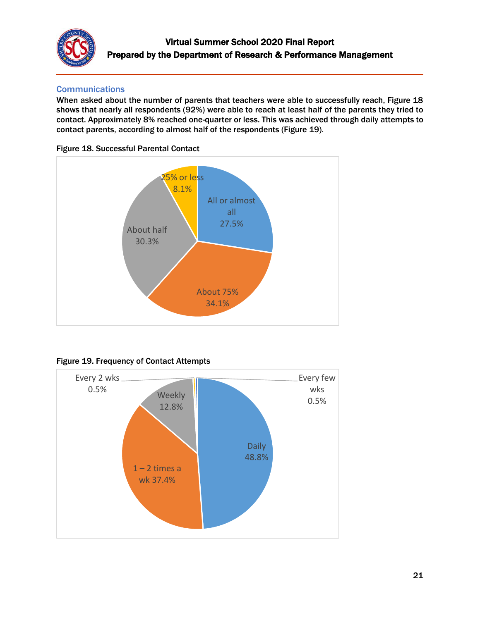

## **Communications**

When asked about the number of parents that teachers were able to successfully reach, Figure 18 shows that nearly all respondents (92%) were able to reach at least half of the parents they tried to contact. Approximately 8% reached one-quarter or less. This was achieved through daily attempts to contact parents, according to almost half of the respondents (Figure 19).







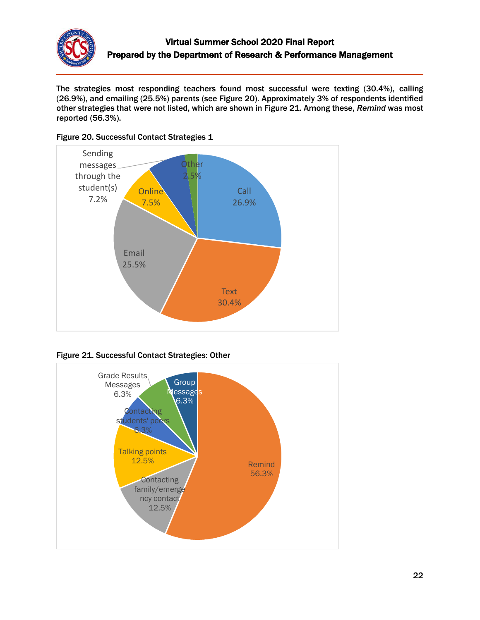

The strategies most responding teachers found most successful were texting (30.4%), calling (26.9%), and emailing (25.5%) parents (see Figure 20). Approximately 3% of respondents identified other strategies that were not listed, which are shown in Figure 21. Among these, *Remind* was most reported (56.3%).







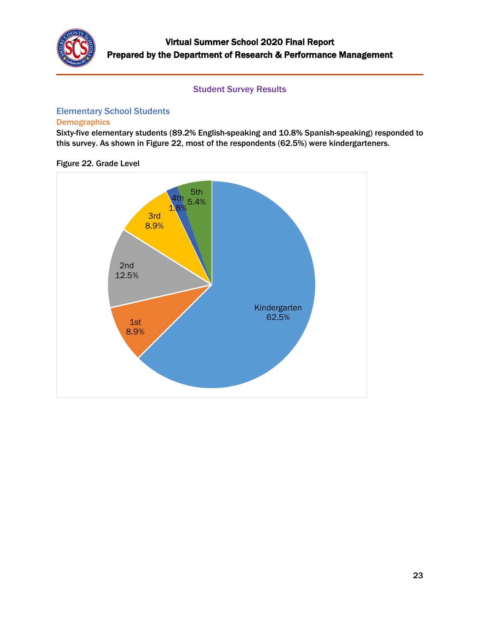

### Student Survey Results

# <span id="page-22-0"></span>Elementary School Students

## **Demographics**

Sixty-five elementary students (89.2% English-speaking and 10.8% Spanish-speaking) responded to this survey. As shown in Figure 22, most of the respondents (62.5%) were kindergarteners.

### Figure 22. Grade Level

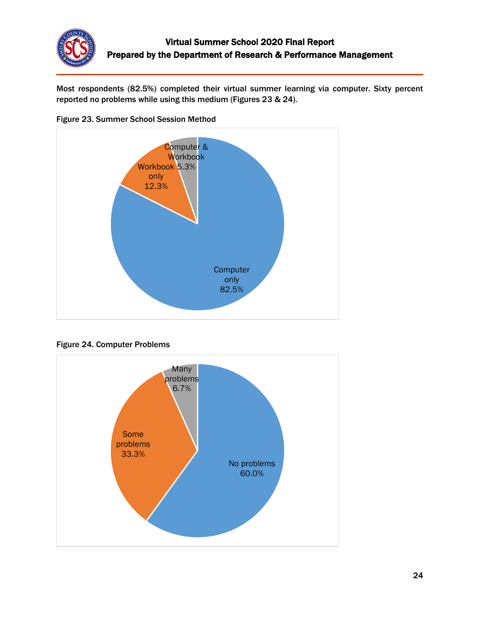

Most respondents (82.5%) completed their virtual summer learning via computer. Sixty percent reported no problems while using this medium (Figures 23 & 24).







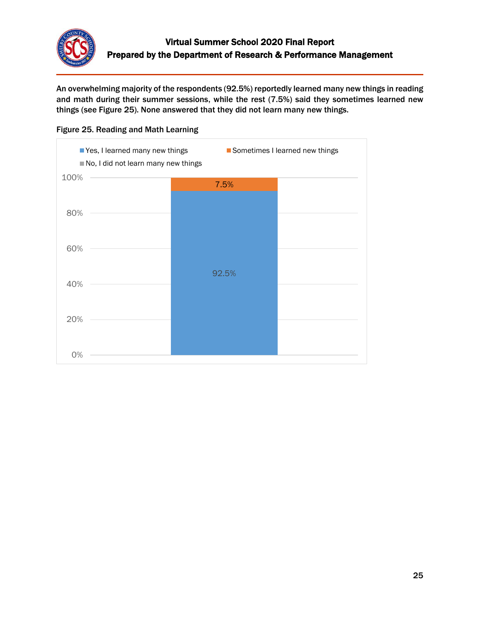

An overwhelming majority of the respondents (92.5%) reportedly learned many new things in reading and math during their summer sessions, while the rest (7.5%) said they sometimes learned new things (see Figure 25). None answered that they did not learn many new things.



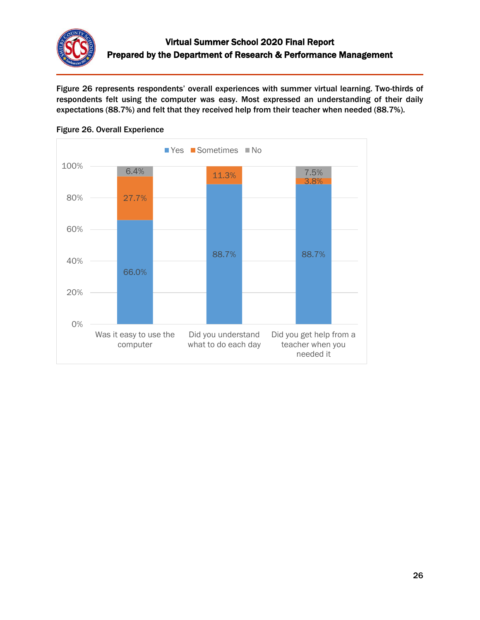

Figure 26 represents respondents' overall experiences with summer virtual learning. Two-thirds of respondents felt using the computer was easy. Most expressed an understanding of their daily expectations (88.7%) and felt that they received help from their teacher when needed (88.7%).



### Figure 26. Overall Experience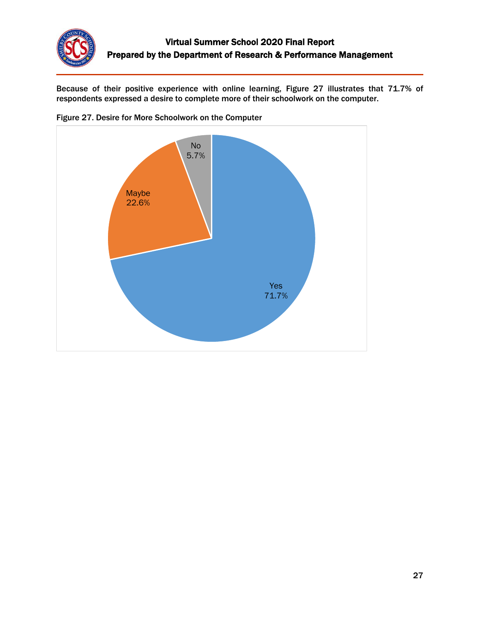

Because of their positive experience with online learning, Figure 27 illustrates that 71.7% of respondents expressed a desire to complete more of their schoolwork on the computer.



Figure 27. Desire for More Schoolwork on the Computer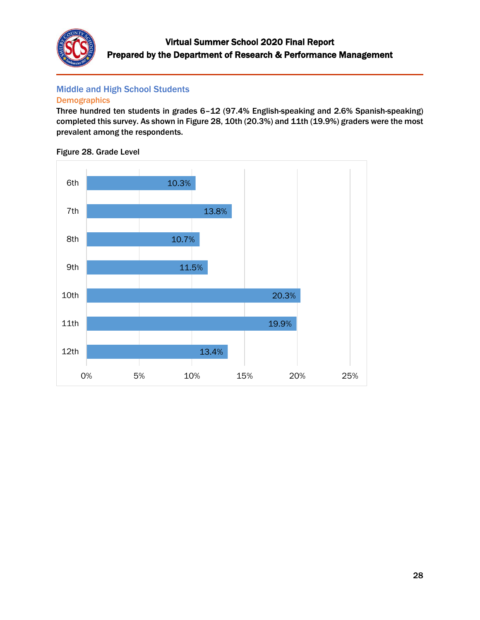

## Middle and High School Students

#### **Demographics**

Three hundred ten students in grades 6–12 (97.4% English-speaking and 2.6% Spanish-speaking) completed this survey. As shown in Figure 28, 10th (20.3%) and 11th (19.9%) graders were the most prevalent among the respondents.

Figure 28. Grade Level

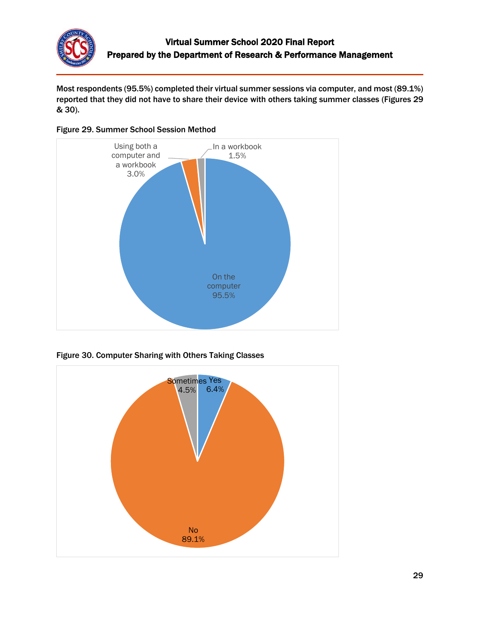

Most respondents (95.5%) completed their virtual summer sessions via computer, and most (89.1%) reported that they did not have to share their device with others taking summer classes (Figures 29 & 30).





Figure 30. Computer Sharing with Others Taking Classes

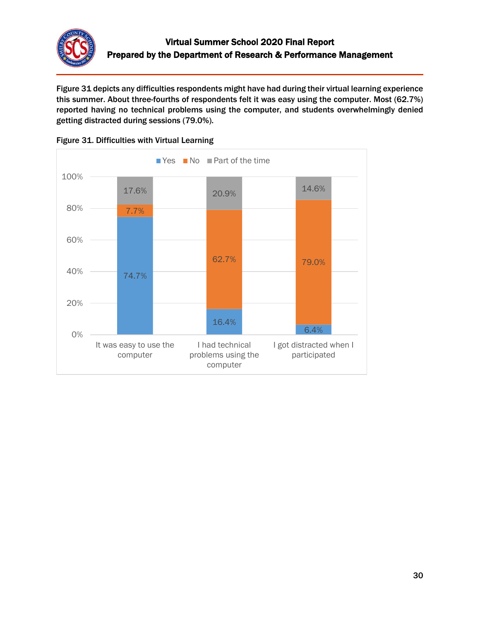

Figure 31 depicts any difficulties respondents might have had during their virtual learning experience this summer. About three-fourths of respondents felt it was easy using the computer. Most (62.7%) reported having no technical problems using the computer, and students overwhelmingly denied getting distracted during sessions (79.0%).



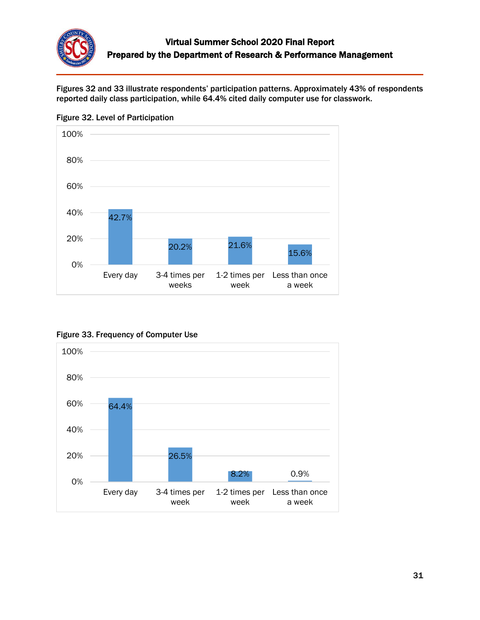

Figures 32 and 33 illustrate respondents' participation patterns. Approximately 43% of respondents reported daily class participation, while 64.4% cited daily computer use for classwork.



Figure 32. Level of Participation



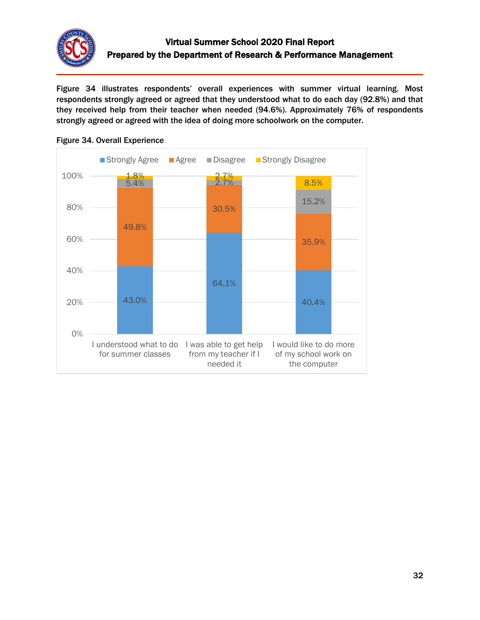

Figure 34 illustrates respondents' overall experiences with summer virtual learning. Most respondents strongly agreed or agreed that they understood what to do each day (92.8%) and that they received help from their teacher when needed (94.6%). Approximately 76% of respondents strongly agreed or agreed with the idea of doing more schoolwork on the computer.



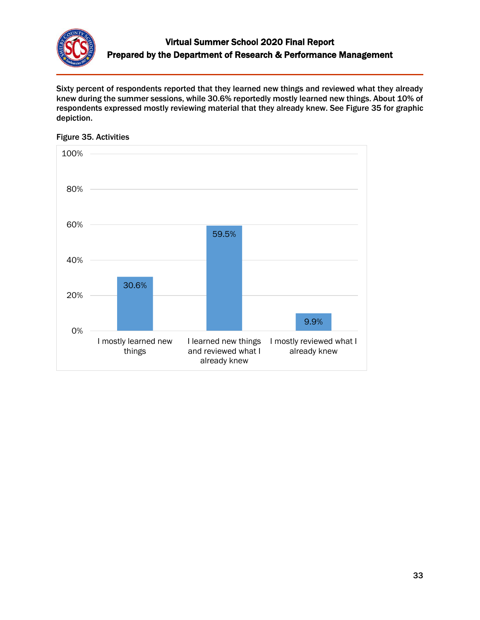

Sixty percent of respondents reported that they learned new things and reviewed what they already knew during the summer sessions, while 30.6% reportedly mostly learned new things. About 10% of respondents expressed mostly reviewing material that they already knew. See Figure 35 for graphic depiction.



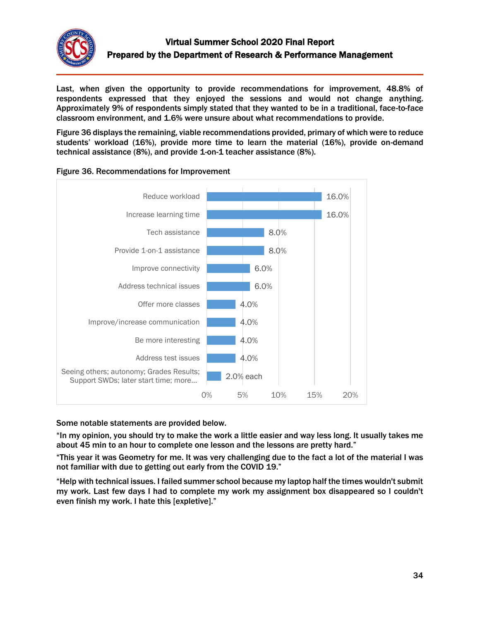

Last, when given the opportunity to provide recommendations for improvement, 48.8% of respondents expressed that they enjoyed the sessions and would not change anything. Approximately 9% of respondents simply stated that they wanted to be in a traditional, face-to-face classroom environment, and 1.6% were unsure about what recommendations to provide.

Figure 36 displays the remaining, viable recommendations provided, primary of which were to reduce students' workload (16%), provide more time to learn the material (16%), provide on-demand technical assistance (8%), and provide 1-on-1 teacher assistance (8%).





### Some notable statements are provided below.

"In my opinion, you should try to make the work a little easier and way less long. It usually takes me about 45 min to an hour to complete one lesson and the lessons are pretty hard."

"This year it was Geometry for me. It was very challenging due to the fact a lot of the material I was not familiar with due to getting out early from the COVID 19."

"Help with technical issues. I failed summer school because my laptop half the times wouldn't submit my work. Last few days I had to complete my work my assignment box disappeared so I couldn't even finish my work. I hate this [expletive]."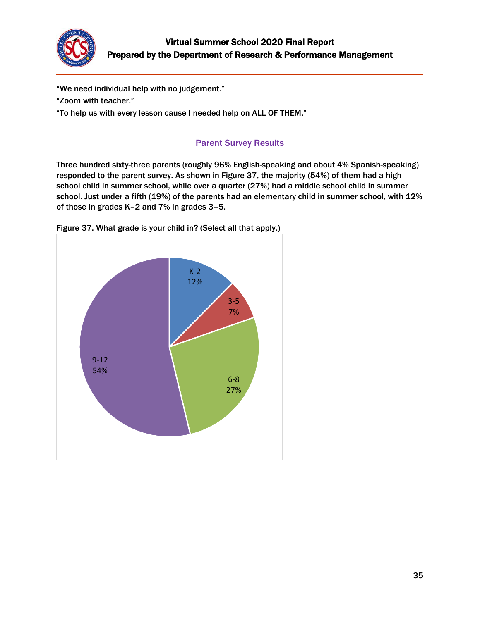

"We need individual help with no judgement."

"Zoom with teacher."

"To help us with every lesson cause I needed help on ALL OF THEM."

## Parent Survey Results

<span id="page-34-0"></span>Three hundred sixty-three parents (roughly 96% English-speaking and about 4% Spanish-speaking) responded to the parent survey. As shown in Figure 37, the majority (54%) of them had a high school child in summer school, while over a quarter (27%) had a middle school child in summer school. Just under a fifth (19%) of the parents had an elementary child in summer school, with 12% of those in grades K–2 and 7% in grades 3–5.



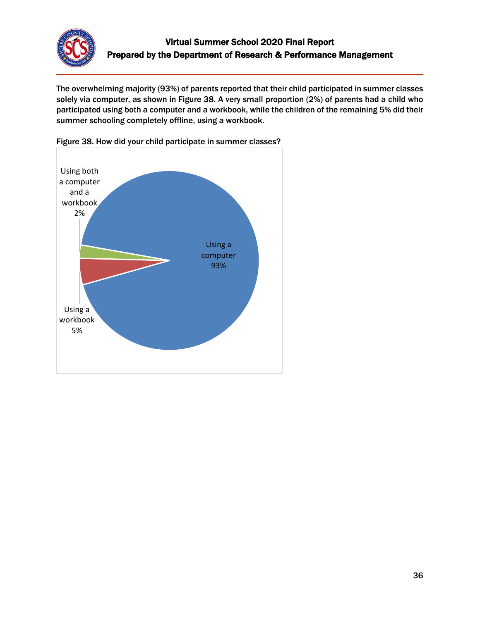

The overwhelming majority (93%) of parents reported that their child participated in summer classes solely via computer, as shown in Figure 38. A very small proportion (2%) of parents had a child who participated using both a computer and a workbook, while the children of the remaining 5% did their summer schooling completely offline, using a workbook.



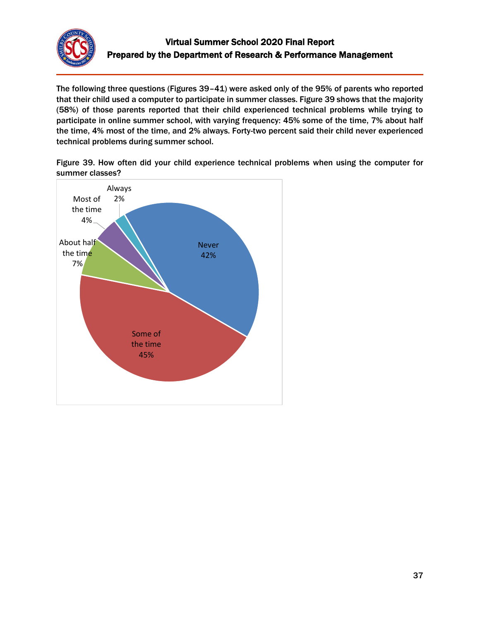

The following three questions (Figures 39–41) were asked only of the 95% of parents who reported that their child used a computer to participate in summer classes. Figure 39 shows that the majority (58%) of those parents reported that their child experienced technical problems while trying to participate in online summer school, with varying frequency: 45% some of the time, 7% about half the time, 4% most of the time, and 2% always. Forty-two percent said their child never experienced technical problems during summer school.

Figure 39. How often did your child experience technical problems when using the computer for summer classes?

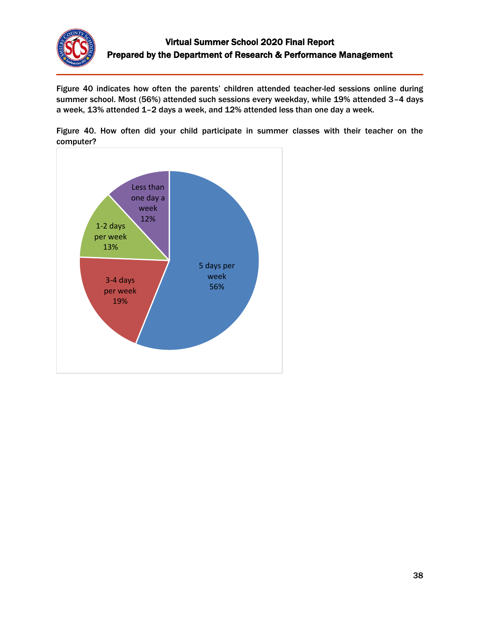

Figure 40 indicates how often the parents' children attended teacher-led sessions online during summer school. Most (56%) attended such sessions every weekday, while 19% attended 3–4 days a week, 13% attended 1–2 days a week, and 12% attended less than one day a week.

Figure 40. How often did your child participate in summer classes with their teacher on the computer?

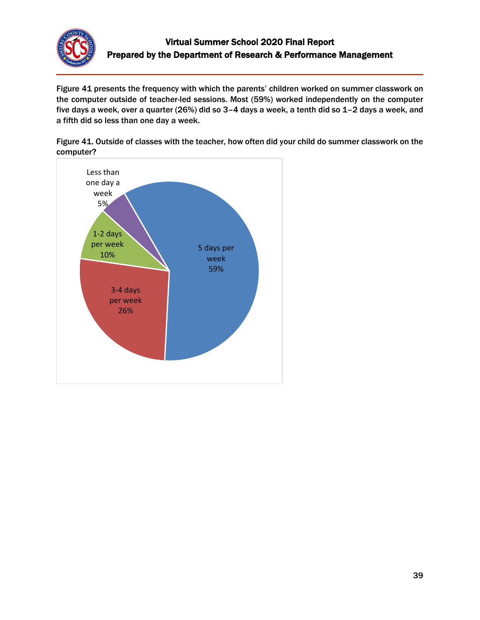

Figure 41 presents the frequency with which the parents' children worked on summer classwork on the computer outside of teacher-led sessions. Most (59%) worked independently on the computer five days a week, over a quarter (26%) did so 3–4 days a week, a tenth did so 1–2 days a week, and a fifth did so less than one day a week.

Figure 41. Outside of classes with the teacher, how often did your child do summer classwork on the computer?

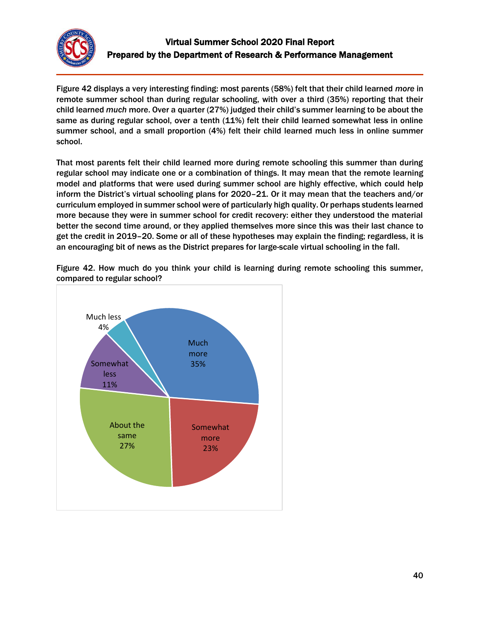

Figure 42 displays a very interesting finding: most parents (58%) felt that their child learned *more* in remote summer school than during regular schooling, with over a third (35%) reporting that their child learned *much* more. Over a quarter (27%) judged their child's summer learning to be about the same as during regular school, over a tenth (11%) felt their child learned somewhat less in online summer school, and a small proportion (4%) felt their child learned much less in online summer school.

That most parents felt their child learned more during remote schooling this summer than during regular school may indicate one or a combination of things. It may mean that the remote learning model and platforms that were used during summer school are highly effective, which could help inform the District's virtual schooling plans for 2020–21. Or it may mean that the teachers and/or curriculum employed in summer school were of particularly high quality. Or perhaps students learned more because they were in summer school for credit recovery: either they understood the material better the second time around, or they applied themselves more since this was their last chance to get the credit in 2019–20. Some or all of these hypotheses may explain the finding; regardless, it is an encouraging bit of news as the District prepares for large-scale virtual schooling in the fall.



Figure 42. How much do you think your child is learning during remote schooling this summer, compared to regular school?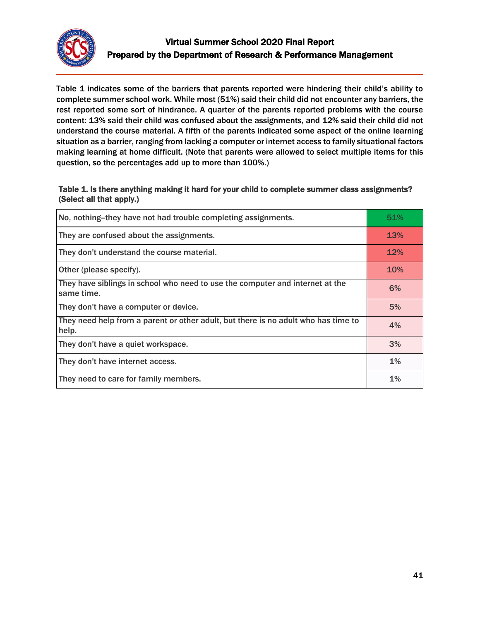

Table 1 indicates some of the barriers that parents reported were hindering their child's ability to complete summer school work. While most (51%) said their child did not encounter any barriers, the rest reported some sort of hindrance. A quarter of the parents reported problems with the course content: 13% said their child was confused about the assignments, and 12% said their child did not understand the course material. A fifth of the parents indicated some aspect of the online learning situation as a barrier, ranging from lacking a computer or internet access to family situational factors making learning at home difficult. (Note that parents were allowed to select multiple items for this question, so the percentages add up to more than 100%.)

### Table 1. Is there anything making it hard for your child to complete summer class assignments? (Select all that apply.)

| No, nothing-they have not had trouble completing assignments.                               | 51%        |
|---------------------------------------------------------------------------------------------|------------|
| They are confused about the assignments.                                                    | <b>13%</b> |
| They don't understand the course material.                                                  | 12%        |
| Other (please specify).                                                                     | <b>10%</b> |
| They have siblings in school who need to use the computer and internet at the<br>same time. | 6%         |
| They don't have a computer or device.                                                       | 5%         |
| They need help from a parent or other adult, but there is no adult who has time to<br>help. | 4%         |
| They don't have a quiet workspace.                                                          | 3%         |
| They don't have internet access.                                                            | $1\%$      |
| They need to care for family members.                                                       | $1\%$      |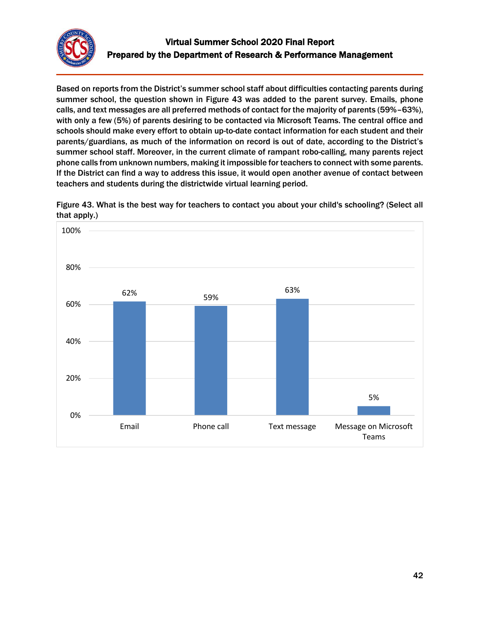

Based on reports from the District's summer school staff about difficulties contacting parents during summer school, the question shown in Figure 43 was added to the parent survey. Emails, phone calls, and text messages are all preferred methods of contact for the majority of parents (59%–63%), with only a few (5%) of parents desiring to be contacted via Microsoft Teams. The central office and schools should make every effort to obtain up-to-date contact information for each student and their parents/guardians, as much of the information on record is out of date, according to the District's summer school staff. Moreover, in the current climate of rampant robo-calling, many parents reject phone calls from unknown numbers, making it impossible for teachers to connect with some parents. If the District can find a way to address this issue, it would open another avenue of contact between teachers and students during the districtwide virtual learning period.



Figure 43. What is the best way for teachers to contact you about your child's schooling? (Select all that apply.)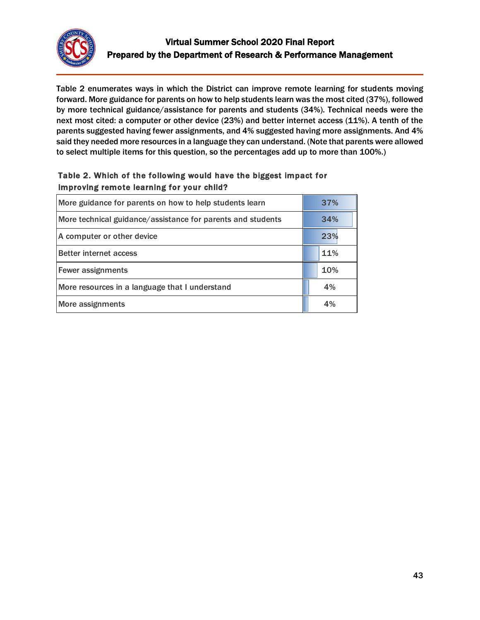

Table 2 enumerates ways in which the District can improve remote learning for students moving forward. More guidance for parents on how to help students learn was the most cited (37%), followed by more technical guidance/assistance for parents and students (34%). Technical needs were the next most cited: a computer or other device (23%) and better internet access (11%). A tenth of the parents suggested having fewer assignments, and 4% suggested having more assignments. And 4% said they needed more resources in a language they can understand. (Note that parents were allowed to select multiple items for this question, so the percentages add up to more than 100%.)

## Table 2. Which of the following would have the biggest impact for improving remote learning for your child?

| More guidance for parents on how to help students learn     | 37% |
|-------------------------------------------------------------|-----|
| More technical guidance/assistance for parents and students | 34% |
| A computer or other device                                  | 23% |
| <b>Better internet access</b>                               | 11% |
| <b>Fewer assignments</b>                                    | 10% |
| More resources in a language that I understand              | 4%  |
| More assignments                                            | 4%  |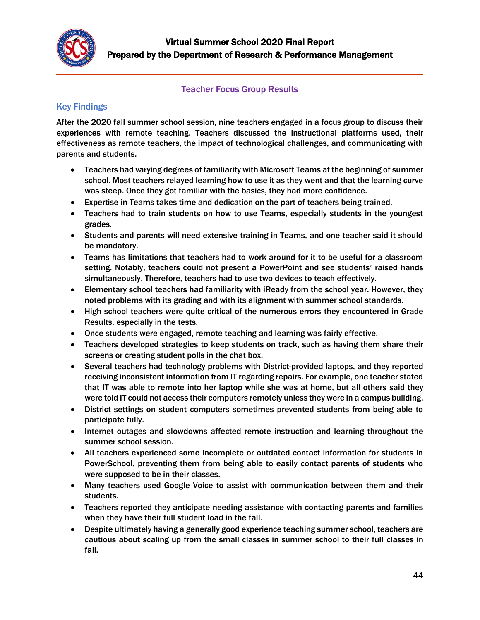

## Teacher Focus Group Results

# <span id="page-43-0"></span>Key Findings

After the 2020 fall summer school session, nine teachers engaged in a focus group to discuss their experiences with remote teaching. Teachers discussed the instructional platforms used, their effectiveness as remote teachers, the impact of technological challenges, and communicating with parents and students.

- Teachers had varying degrees of familiarity with Microsoft Teams at the beginning of summer school. Most teachers relayed learning how to use it as they went and that the learning curve was steep. Once they got familiar with the basics, they had more confidence.
- Expertise in Teams takes time and dedication on the part of teachers being trained.
- Teachers had to train students on how to use Teams, especially students in the youngest grades.
- Students and parents will need extensive training in Teams, and one teacher said it should be mandatory.
- Teams has limitations that teachers had to work around for it to be useful for a classroom setting. Notably, teachers could not present a PowerPoint and see students' raised hands simultaneously. Therefore, teachers had to use two devices to teach effectively.
- Elementary school teachers had familiarity with iReady from the school year. However, they noted problems with its grading and with its alignment with summer school standards.
- High school teachers were quite critical of the numerous errors they encountered in Grade Results, especially in the tests.
- Once students were engaged, remote teaching and learning was fairly effective.
- Teachers developed strategies to keep students on track, such as having them share their screens or creating student polls in the chat box.
- Several teachers had technology problems with District-provided laptops, and they reported receiving inconsistent information from IT regarding repairs. For example, one teacher stated that IT was able to remote into her laptop while she was at home, but all others said they were told IT could not access their computers remotely unless they were in a campus building.
- District settings on student computers sometimes prevented students from being able to participate fully.
- Internet outages and slowdowns affected remote instruction and learning throughout the summer school session.
- All teachers experienced some incomplete or outdated contact information for students in PowerSchool, preventing them from being able to easily contact parents of students who were supposed to be in their classes.
- Many teachers used Google Voice to assist with communication between them and their students.
- Teachers reported they anticipate needing assistance with contacting parents and families when they have their full student load in the fall.
- Despite ultimately having a generally good experience teaching summer school, teachers are cautious about scaling up from the small classes in summer school to their full classes in fall.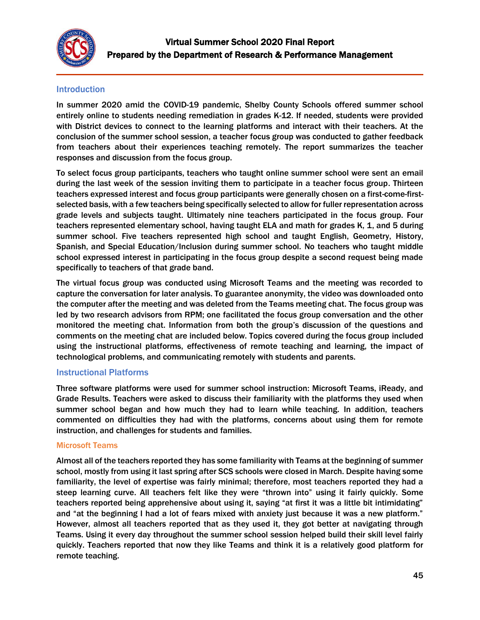

## **Introduction**

In summer 2020 amid the COVID-19 pandemic, Shelby County Schools offered summer school entirely online to students needing remediation in grades K-12. If needed, students were provided with District devices to connect to the learning platforms and interact with their teachers. At the conclusion of the summer school session, a teacher focus group was conducted to gather feedback from teachers about their experiences teaching remotely. The report summarizes the teacher responses and discussion from the focus group.

To select focus group participants, teachers who taught online summer school were sent an email during the last week of the session inviting them to participate in a teacher focus group. Thirteen teachers expressed interest and focus group participants were generally chosen on a first-come-firstselected basis, with a few teachers being specifically selected to allow for fuller representation across grade levels and subjects taught. Ultimately nine teachers participated in the focus group. Four teachers represented elementary school, having taught ELA and math for grades K, 1, and 5 during summer school. Five teachers represented high school and taught English, Geometry, History, Spanish, and Special Education/Inclusion during summer school. No teachers who taught middle school expressed interest in participating in the focus group despite a second request being made specifically to teachers of that grade band.

The virtual focus group was conducted using Microsoft Teams and the meeting was recorded to capture the conversation for later analysis. To guarantee anonymity, the video was downloaded onto the computer after the meeting and was deleted from the Teams meeting chat. The focus group was led by two research advisors from RPM; one facilitated the focus group conversation and the other monitored the meeting chat. Information from both the group's discussion of the questions and comments on the meeting chat are included below. Topics covered during the focus group included using the instructional platforms, effectiveness of remote teaching and learning, the impact of technological problems, and communicating remotely with students and parents.

### Instructional Platforms

Three software platforms were used for summer school instruction: Microsoft Teams, iReady, and Grade Results. Teachers were asked to discuss their familiarity with the platforms they used when summer school began and how much they had to learn while teaching. In addition, teachers commented on difficulties they had with the platforms, concerns about using them for remote instruction, and challenges for students and families.

### Microsoft Teams

Almost all of the teachers reported they has some familiarity with Teams at the beginning of summer school, mostly from using it last spring after SCS schools were closed in March. Despite having some familiarity, the level of expertise was fairly minimal; therefore, most teachers reported they had a steep learning curve. All teachers felt like they were "thrown into" using it fairly quickly. Some teachers reported being apprehensive about using it, saying "at first it was a little bit intimidating" and "at the beginning I had a lot of fears mixed with anxiety just because it was a new platform." However, almost all teachers reported that as they used it, they got better at navigating through Teams. Using it every day throughout the summer school session helped build their skill level fairly quickly. Teachers reported that now they like Teams and think it is a relatively good platform for remote teaching.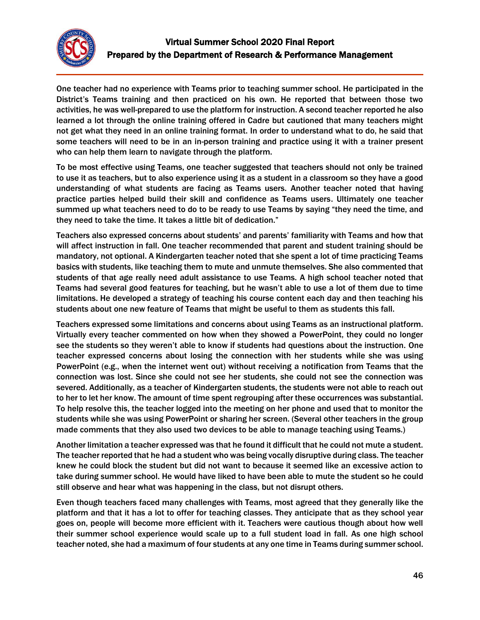

One teacher had no experience with Teams prior to teaching summer school. He participated in the District's Teams training and then practiced on his own. He reported that between those two activities, he was well-prepared to use the platform for instruction. A second teacher reported he also learned a lot through the online training offered in Cadre but cautioned that many teachers might not get what they need in an online training format. In order to understand what to do, he said that some teachers will need to be in an in-person training and practice using it with a trainer present who can help them learn to navigate through the platform.

To be most effective using Teams, one teacher suggested that teachers should not only be trained to use it as teachers, but to also experience using it as a student in a classroom so they have a good understanding of what students are facing as Teams users. Another teacher noted that having practice parties helped build their skill and confidence as Teams users. Ultimately one teacher summed up what teachers need to do to be ready to use Teams by saying "they need the time, and they need to take the time. It takes a little bit of dedication."

Teachers also expressed concerns about students' and parents' familiarity with Teams and how that will affect instruction in fall. One teacher recommended that parent and student training should be mandatory, not optional. A Kindergarten teacher noted that she spent a lot of time practicing Teams basics with students, like teaching them to mute and unmute themselves. She also commented that students of that age really need adult assistance to use Teams. A high school teacher noted that Teams had several good features for teaching, but he wasn't able to use a lot of them due to time limitations. He developed a strategy of teaching his course content each day and then teaching his students about one new feature of Teams that might be useful to them as students this fall.

Teachers expressed some limitations and concerns about using Teams as an instructional platform. Virtually every teacher commented on how when they showed a PowerPoint, they could no longer see the students so they weren't able to know if students had questions about the instruction. One teacher expressed concerns about losing the connection with her students while she was using PowerPoint (e.g., when the internet went out) without receiving a notification from Teams that the connection was lost. Since she could not see her students, she could not see the connection was severed. Additionally, as a teacher of Kindergarten students, the students were not able to reach out to her to let her know. The amount of time spent regrouping after these occurrences was substantial. To help resolve this, the teacher logged into the meeting on her phone and used that to monitor the students while she was using PowerPoint or sharing her screen. (Several other teachers in the group made comments that they also used two devices to be able to manage teaching using Teams.)

Another limitation a teacher expressed was that he found it difficult that he could not mute a student. The teacher reported that he had a student who was being vocally disruptive during class. The teacher knew he could block the student but did not want to because it seemed like an excessive action to take during summer school. He would have liked to have been able to mute the student so he could still observe and hear what was happening in the class, but not disrupt others.

Even though teachers faced many challenges with Teams, most agreed that they generally like the platform and that it has a lot to offer for teaching classes. They anticipate that as they school year goes on, people will become more efficient with it. Teachers were cautious though about how well their summer school experience would scale up to a full student load in fall. As one high school teacher noted, she had a maximum of four students at any one time in Teams during summer school.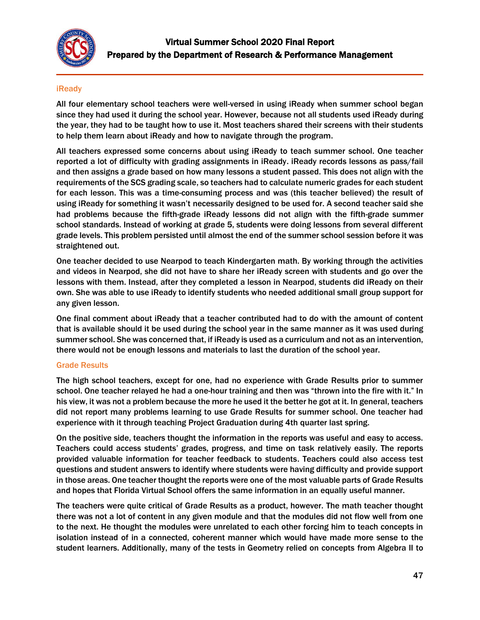

### iReady

All four elementary school teachers were well-versed in using iReady when summer school began since they had used it during the school year. However, because not all students used iReady during the year, they had to be taught how to use it. Most teachers shared their screens with their students to help them learn about iReady and how to navigate through the program.

All teachers expressed some concerns about using iReady to teach summer school. One teacher reported a lot of difficulty with grading assignments in iReady. iReady records lessons as pass/fail and then assigns a grade based on how many lessons a student passed. This does not align with the requirements of the SCS grading scale, so teachers had to calculate numeric grades for each student for each lesson. This was a time-consuming process and was (this teacher believed) the result of using iReady for something it wasn't necessarily designed to be used for. A second teacher said she had problems because the fifth-grade iReady lessons did not align with the fifth-grade summer school standards. Instead of working at grade 5, students were doing lessons from several different grade levels. This problem persisted until almost the end of the summer school session before it was straightened out.

One teacher decided to use Nearpod to teach Kindergarten math. By working through the activities and videos in Nearpod, she did not have to share her iReady screen with students and go over the lessons with them. Instead, after they completed a lesson in Nearpod, students did iReady on their own. She was able to use iReady to identify students who needed additional small group support for any given lesson.

One final comment about iReady that a teacher contributed had to do with the amount of content that is available should it be used during the school year in the same manner as it was used during summer school. She was concerned that, if iReady is used as a curriculum and not as an intervention, there would not be enough lessons and materials to last the duration of the school year.

#### Grade Results

The high school teachers, except for one, had no experience with Grade Results prior to summer school. One teacher relayed he had a one-hour training and then was "thrown into the fire with it." In his view, it was not a problem because the more he used it the better he got at it. In general, teachers did not report many problems learning to use Grade Results for summer school. One teacher had experience with it through teaching Project Graduation during 4th quarter last spring.

On the positive side, teachers thought the information in the reports was useful and easy to access. Teachers could access students' grades, progress, and time on task relatively easily. The reports provided valuable information for teacher feedback to students. Teachers could also access test questions and student answers to identify where students were having difficulty and provide support in those areas. One teacher thought the reports were one of the most valuable parts of Grade Results and hopes that Florida Virtual School offers the same information in an equally useful manner.

The teachers were quite critical of Grade Results as a product, however. The math teacher thought there was not a lot of content in any given module and that the modules did not flow well from one to the next. He thought the modules were unrelated to each other forcing him to teach concepts in isolation instead of in a connected, coherent manner which would have made more sense to the student learners. Additionally, many of the tests in Geometry relied on concepts from Algebra II to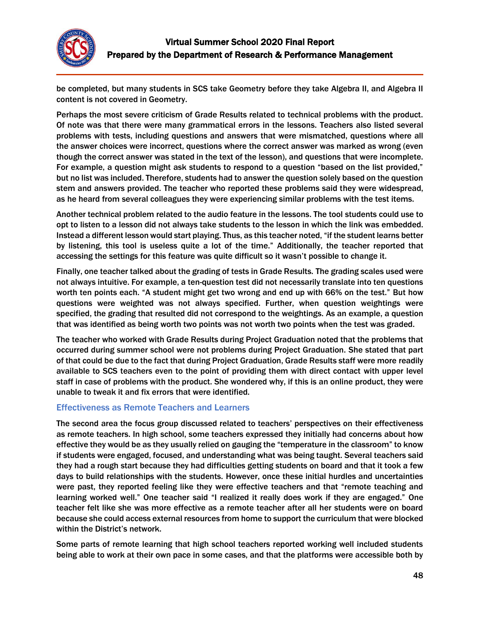

be completed, but many students in SCS take Geometry before they take Algebra II, and Algebra II content is not covered in Geometry.

Perhaps the most severe criticism of Grade Results related to technical problems with the product. Of note was that there were many grammatical errors in the lessons. Teachers also listed several problems with tests, including questions and answers that were mismatched, questions where all the answer choices were incorrect, questions where the correct answer was marked as wrong (even though the correct answer was stated in the text of the lesson), and questions that were incomplete. For example, a question might ask students to respond to a question "based on the list provided," but no list was included. Therefore, students had to answer the question solely based on the question stem and answers provided. The teacher who reported these problems said they were widespread, as he heard from several colleagues they were experiencing similar problems with the test items.

Another technical problem related to the audio feature in the lessons. The tool students could use to opt to listen to a lesson did not always take students to the lesson in which the link was embedded. Instead a different lesson would start playing. Thus, as this teacher noted, "if the student learns better by listening, this tool is useless quite a lot of the time." Additionally, the teacher reported that accessing the settings for this feature was quite difficult so it wasn't possible to change it.

Finally, one teacher talked about the grading of tests in Grade Results. The grading scales used were not always intuitive. For example, a ten-question test did not necessarily translate into ten questions worth ten points each. "A student might get two wrong and end up with 66% on the test." But how questions were weighted was not always specified. Further, when question weightings were specified, the grading that resulted did not correspond to the weightings. As an example, a question that was identified as being worth two points was not worth two points when the test was graded.

The teacher who worked with Grade Results during Project Graduation noted that the problems that occurred during summer school were not problems during Project Graduation. She stated that part of that could be due to the fact that during Project Graduation, Grade Results staff were more readily available to SCS teachers even to the point of providing them with direct contact with upper level staff in case of problems with the product. She wondered why, if this is an online product, they were unable to tweak it and fix errors that were identified.

### Effectiveness as Remote Teachers and Learners

The second area the focus group discussed related to teachers' perspectives on their effectiveness as remote teachers. In high school, some teachers expressed they initially had concerns about how effective they would be as they usually relied on gauging the "temperature in the classroom" to know if students were engaged, focused, and understanding what was being taught. Several teachers said they had a rough start because they had difficulties getting students on board and that it took a few days to build relationships with the students. However, once these initial hurdles and uncertainties were past, they reported feeling like they were effective teachers and that "remote teaching and learning worked well." One teacher said "I realized it really does work if they are engaged." One teacher felt like she was more effective as a remote teacher after all her students were on board because she could access external resources from home to support the curriculum that were blocked within the District's network.

Some parts of remote learning that high school teachers reported working well included students being able to work at their own pace in some cases, and that the platforms were accessible both by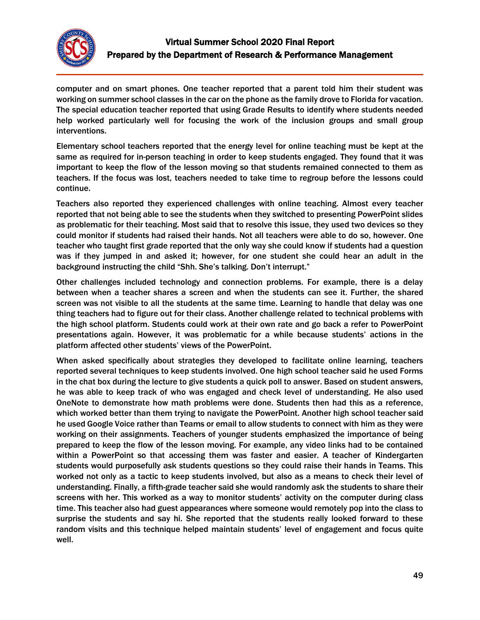

computer and on smart phones. One teacher reported that a parent told him their student was working on summer school classes in the car on the phone as the family drove to Florida for vacation. The special education teacher reported that using Grade Results to identify where students needed help worked particularly well for focusing the work of the inclusion groups and small group interventions.

Elementary school teachers reported that the energy level for online teaching must be kept at the same as required for in-person teaching in order to keep students engaged. They found that it was important to keep the flow of the lesson moving so that students remained connected to them as teachers. If the focus was lost, teachers needed to take time to regroup before the lessons could continue.

Teachers also reported they experienced challenges with online teaching. Almost every teacher reported that not being able to see the students when they switched to presenting PowerPoint slides as problematic for their teaching. Most said that to resolve this issue, they used two devices so they could monitor if students had raised their hands. Not all teachers were able to do so, however. One teacher who taught first grade reported that the only way she could know if students had a question was if they jumped in and asked it; however, for one student she could hear an adult in the background instructing the child "Shh. She's talking. Don't interrupt."

Other challenges included technology and connection problems. For example, there is a delay between when a teacher shares a screen and when the students can see it. Further, the shared screen was not visible to all the students at the same time. Learning to handle that delay was one thing teachers had to figure out for their class. Another challenge related to technical problems with the high school platform. Students could work at their own rate and go back a refer to PowerPoint presentations again. However, it was problematic for a while because students' actions in the platform affected other students' views of the PowerPoint.

When asked specifically about strategies they developed to facilitate online learning, teachers reported several techniques to keep students involved. One high school teacher said he used Forms in the chat box during the lecture to give students a quick poll to answer. Based on student answers, he was able to keep track of who was engaged and check level of understanding. He also used OneNote to demonstrate how math problems were done. Students then had this as a reference, which worked better than them trying to navigate the PowerPoint. Another high school teacher said he used Google Voice rather than Teams or email to allow students to connect with him as they were working on their assignments. Teachers of younger students emphasized the importance of being prepared to keep the flow of the lesson moving. For example, any video links had to be contained within a PowerPoint so that accessing them was faster and easier. A teacher of Kindergarten students would purposefully ask students questions so they could raise their hands in Teams. This worked not only as a tactic to keep students involved, but also as a means to check their level of understanding. Finally, a fifth-grade teacher said she would randomly ask the students to share their screens with her. This worked as a way to monitor students' activity on the computer during class time. This teacher also had guest appearances where someone would remotely pop into the class to surprise the students and say hi. She reported that the students really looked forward to these random visits and this technique helped maintain students' level of engagement and focus quite well.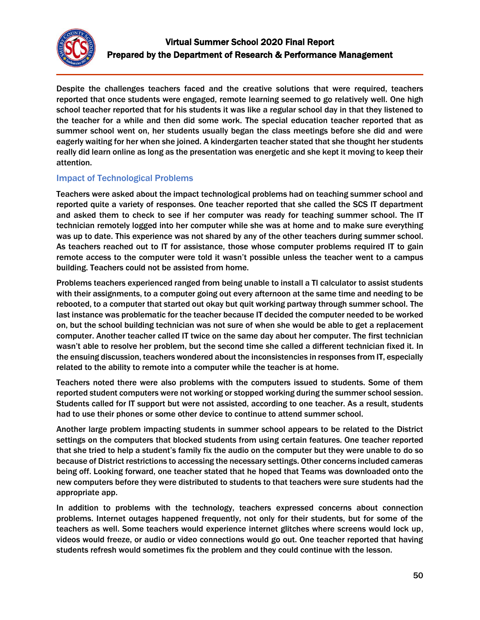

Despite the challenges teachers faced and the creative solutions that were required, teachers reported that once students were engaged, remote learning seemed to go relatively well. One high school teacher reported that for his students it was like a regular school day in that they listened to the teacher for a while and then did some work. The special education teacher reported that as summer school went on, her students usually began the class meetings before she did and were eagerly waiting for her when she joined. A kindergarten teacher stated that she thought her students really did learn online as long as the presentation was energetic and she kept it moving to keep their attention.

## Impact of Technological Problems

Teachers were asked about the impact technological problems had on teaching summer school and reported quite a variety of responses. One teacher reported that she called the SCS IT department and asked them to check to see if her computer was ready for teaching summer school. The IT technician remotely logged into her computer while she was at home and to make sure everything was up to date. This experience was not shared by any of the other teachers during summer school. As teachers reached out to IT for assistance, those whose computer problems required IT to gain remote access to the computer were told it wasn't possible unless the teacher went to a campus building. Teachers could not be assisted from home.

Problems teachers experienced ranged from being unable to install a TI calculator to assist students with their assignments, to a computer going out every afternoon at the same time and needing to be rebooted, to a computer that started out okay but quit working partway through summer school. The last instance was problematic for the teacher because IT decided the computer needed to be worked on, but the school building technician was not sure of when she would be able to get a replacement computer. Another teacher called IT twice on the same day about her computer. The first technician wasn't able to resolve her problem, but the second time she called a different technician fixed it. In the ensuing discussion, teachers wondered about the inconsistencies in responses from IT, especially related to the ability to remote into a computer while the teacher is at home.

Teachers noted there were also problems with the computers issued to students. Some of them reported student computers were not working or stopped working during the summer school session. Students called for IT support but were not assisted, according to one teacher. As a result, students had to use their phones or some other device to continue to attend summer school.

Another large problem impacting students in summer school appears to be related to the District settings on the computers that blocked students from using certain features. One teacher reported that she tried to help a student's family fix the audio on the computer but they were unable to do so because of District restrictions to accessing the necessary settings. Other concerns included cameras being off. Looking forward, one teacher stated that he hoped that Teams was downloaded onto the new computers before they were distributed to students to that teachers were sure students had the appropriate app.

In addition to problems with the technology, teachers expressed concerns about connection problems. Internet outages happened frequently, not only for their students, but for some of the teachers as well. Some teachers would experience internet glitches where screens would lock up, videos would freeze, or audio or video connections would go out. One teacher reported that having students refresh would sometimes fix the problem and they could continue with the lesson.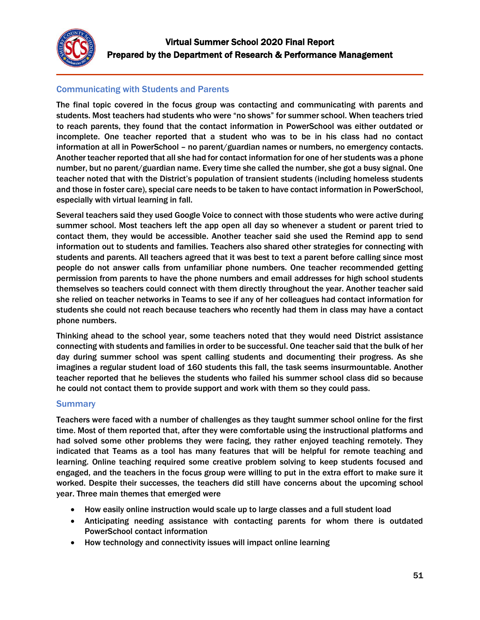

## Communicating with Students and Parents

The final topic covered in the focus group was contacting and communicating with parents and students. Most teachers had students who were "no shows" for summer school. When teachers tried to reach parents, they found that the contact information in PowerSchool was either outdated or incomplete. One teacher reported that a student who was to be in his class had no contact information at all in PowerSchool – no parent/guardian names or numbers, no emergency contacts. Another teacher reported that all she had for contact information for one of her students was a phone number, but no parent/guardian name. Every time she called the number, she got a busy signal. One teacher noted that with the District's population of transient students (including homeless students and those in foster care), special care needs to be taken to have contact information in PowerSchool, especially with virtual learning in fall.

Several teachers said they used Google Voice to connect with those students who were active during summer school. Most teachers left the app open all day so whenever a student or parent tried to contact them, they would be accessible. Another teacher said she used the Remind app to send information out to students and families. Teachers also shared other strategies for connecting with students and parents. All teachers agreed that it was best to text a parent before calling since most people do not answer calls from unfamiliar phone numbers. One teacher recommended getting permission from parents to have the phone numbers and email addresses for high school students themselves so teachers could connect with them directly throughout the year. Another teacher said she relied on teacher networks in Teams to see if any of her colleagues had contact information for students she could not reach because teachers who recently had them in class may have a contact phone numbers.

Thinking ahead to the school year, some teachers noted that they would need District assistance connecting with students and families in order to be successful. One teacher said that the bulk of her day during summer school was spent calling students and documenting their progress. As she imagines a regular student load of 160 students this fall, the task seems insurmountable. Another teacher reported that he believes the students who failed his summer school class did so because he could not contact them to provide support and work with them so they could pass.

### **Summary**

Teachers were faced with a number of challenges as they taught summer school online for the first time. Most of them reported that, after they were comfortable using the instructional platforms and had solved some other problems they were facing, they rather enjoyed teaching remotely. They indicated that Teams as a tool has many features that will be helpful for remote teaching and learning. Online teaching required some creative problem solving to keep students focused and engaged, and the teachers in the focus group were willing to put in the extra effort to make sure it worked. Despite their successes, the teachers did still have concerns about the upcoming school year. Three main themes that emerged were

- How easily online instruction would scale up to large classes and a full student load
- Anticipating needing assistance with contacting parents for whom there is outdated PowerSchool contact information
- How technology and connectivity issues will impact online learning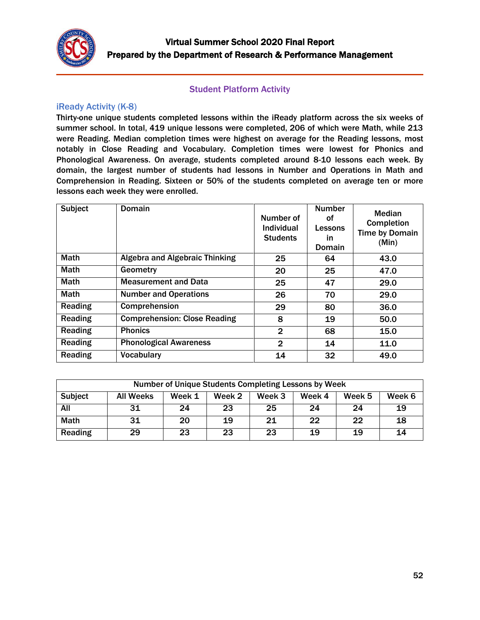

## Student Platform Activity

### <span id="page-51-1"></span><span id="page-51-0"></span>iReady Activity (K-8)

Thirty-one unique students completed lessons within the iReady platform across the six weeks of summer school. In total, 419 unique lessons were completed, 206 of which were Math, while 213 were Reading. Median completion times were highest on average for the Reading lessons, most notably in Close Reading and Vocabulary. Completion times were lowest for Phonics and Phonological Awareness. On average, students completed around 8-10 lessons each week. By domain, the largest number of students had lessons in Number and Operations in Math and Comprehension in Reading. Sixteen or 50% of the students completed on average ten or more lessons each week they were enrolled.

| Subject     | <b>Domain</b>                         | Number of<br>Individual<br><b>Students</b> | <b>Number</b><br>οf<br>Lessons<br><u>in</u><br>Domain | Median<br>Completion<br><b>Time by Domain</b><br>(Min) |
|-------------|---------------------------------------|--------------------------------------------|-------------------------------------------------------|--------------------------------------------------------|
| <b>Math</b> | <b>Algebra and Algebraic Thinking</b> | 25                                         | 64                                                    | 43.0                                                   |
| <b>Math</b> | Geometry                              | 20                                         | 25                                                    | 47.0                                                   |
| <b>Math</b> | <b>Measurement and Data</b>           | 25                                         | 47                                                    | 29.0                                                   |
| <b>Math</b> | <b>Number and Operations</b>          | 26                                         | 70                                                    | 29.0                                                   |
| Reading     | Comprehension                         | 29                                         | 80                                                    | 36.0                                                   |
| Reading     | <b>Comprehension: Close Reading</b>   | 8                                          | 19                                                    | 50.0                                                   |
| Reading     | <b>Phonics</b>                        | $\mathbf{2}$                               | 68                                                    | 15.0                                                   |
| Reading     | <b>Phonological Awareness</b>         | $\mathbf{2}$                               | 14                                                    | 11.0                                                   |
| Reading     | <b>Vocabulary</b>                     | 14                                         | 32                                                    | 49.0                                                   |

| Number of Unique Students Completing Lessons by Week |                  |        |        |        |        |        |        |  |
|------------------------------------------------------|------------------|--------|--------|--------|--------|--------|--------|--|
| <b>Subject</b>                                       | <b>All Weeks</b> | Week 1 | Week 2 | Week 3 | Week 4 | Week 5 | Week 6 |  |
| All                                                  | 31               | 24     | 23     | 25     | 24     | 24     | 19     |  |
| <b>Math</b>                                          | 31               | 20     | 19     | 21     | 22     | 22     | 18     |  |
| Reading                                              | 29               | 23     | 23     | 23     | 19     | 19     | 14     |  |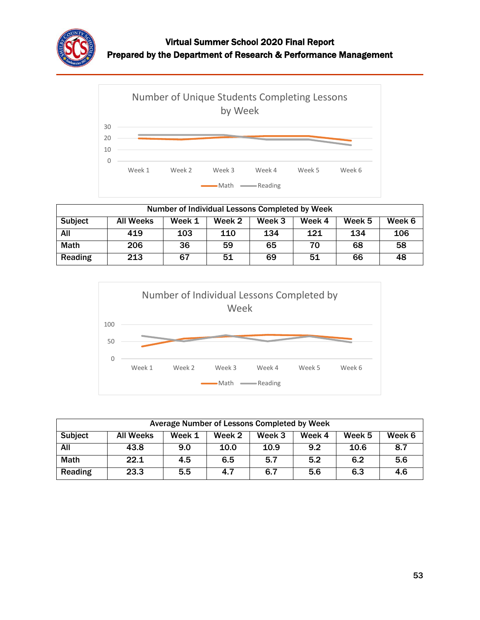



| Number of Individual Lessons Completed by Week |                  |        |        |        |        |        |        |  |
|------------------------------------------------|------------------|--------|--------|--------|--------|--------|--------|--|
| <b>Subject</b>                                 | <b>All Weeks</b> | Week 1 | Week 2 | Week 3 | Week 4 | Week 5 | Week 6 |  |
| All                                            | 419              | 103    | 110    | 134    | 121    | 134    | 106    |  |
| <b>Math</b>                                    | 206              | 36     | 59     | 65     | 70     | 68     | 58     |  |
| Reading                                        | 213              | 67     | 51     | 69     | 51     | 66     | 48     |  |



| Average Number of Lessons Completed by Week |                                                                              |     |      |      |     |      |     |  |  |
|---------------------------------------------|------------------------------------------------------------------------------|-----|------|------|-----|------|-----|--|--|
| <b>Subject</b>                              | Week 5<br>Week 6<br><b>All Weeks</b><br>Week 1<br>Week 2<br>Week 3<br>Week 4 |     |      |      |     |      |     |  |  |
| All                                         | 43.8                                                                         | 9.0 | 10.0 | 10.9 | 9.2 | 10.6 | 8.7 |  |  |
| <b>Math</b>                                 | 22.1                                                                         | 4.5 | 6.5  | 5.7  | 5.2 | 6.2  | 5.6 |  |  |
| Reading                                     | 23.3                                                                         | 5.5 | 4.7  | 6.7  | 5.6 | 6.3  | 4.6 |  |  |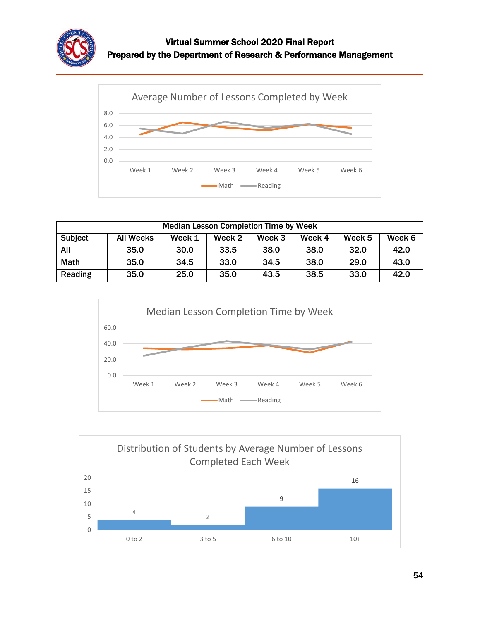



| <b>Median Lesson Completion Time by Week</b> |                                                                       |      |      |      |      |      |      |  |  |
|----------------------------------------------|-----------------------------------------------------------------------|------|------|------|------|------|------|--|--|
| <b>Subject</b>                               | Week 4<br>Week 6<br>Week 1<br>Week 3<br>Week 5<br>All Weeks<br>Week 2 |      |      |      |      |      |      |  |  |
| All                                          | 35.0                                                                  | 30.0 | 33.5 | 38.0 | 38.0 | 32.0 | 42.0 |  |  |
| <b>Math</b>                                  | 35.0                                                                  | 34.5 | 33.0 | 34.5 | 38.0 | 29.0 | 43.0 |  |  |
| Reading                                      | 35.0                                                                  | 25.0 | 35.0 | 43.5 | 38.5 | 33.0 | 42.0 |  |  |



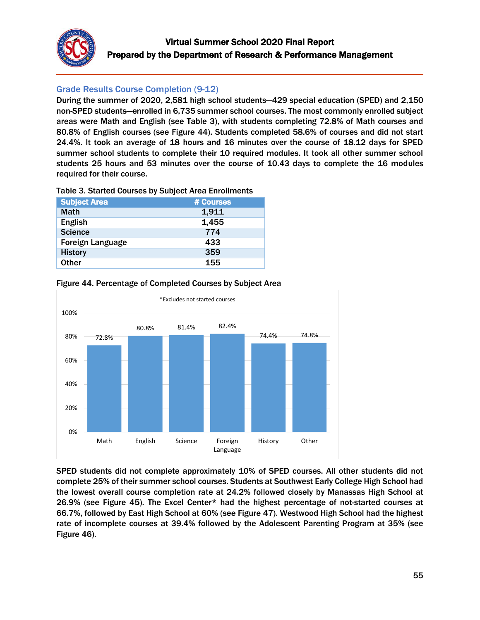

## <span id="page-54-0"></span>Grade Results Course Completion (9-12)

During the summer of 2020, 2,581 high school students—429 special education (SPED) and 2,150 non-SPED students—enrolled in 6,735 summer school courses. The most commonly enrolled subject areas were Math and English (see Table 3), with students completing 72.8% of Math courses and 80.8% of English courses (see Figure 44). Students completed 58.6% of courses and did not start 24.4%. It took an average of 18 hours and 16 minutes over the course of 18.12 days for SPED summer school students to complete their 10 required modules. It took all other summer school students 25 hours and 53 minutes over the course of 10.43 days to complete the 16 modules required for their course.

#### Table 3. Started Courses by Subject Area Enrollments

| <b>Subject Area</b>     | # Courses |
|-------------------------|-----------|
| <b>Math</b>             | 1,911     |
| <b>English</b>          | 1,455     |
| <b>Science</b>          | 774       |
| <b>Foreign Language</b> | 433       |
| <b>History</b>          | 359       |
| <b>Other</b>            | 155       |



### Figure 44. Percentage of Completed Courses by Subject Area

SPED students did not complete approximately 10% of SPED courses. All other students did not complete 25% of their summer school courses. Students at Southwest Early College High School had the lowest overall course completion rate at 24.2% followed closely by Manassas High School at 26.9% (see Figure 45). The Excel Center\* had the highest percentage of not-started courses at 66.7%, followed by East High School at 60% (see Figure 47). Westwood High School had the highest rate of incomplete courses at 39.4% followed by the Adolescent Parenting Program at 35% (see Figure 46).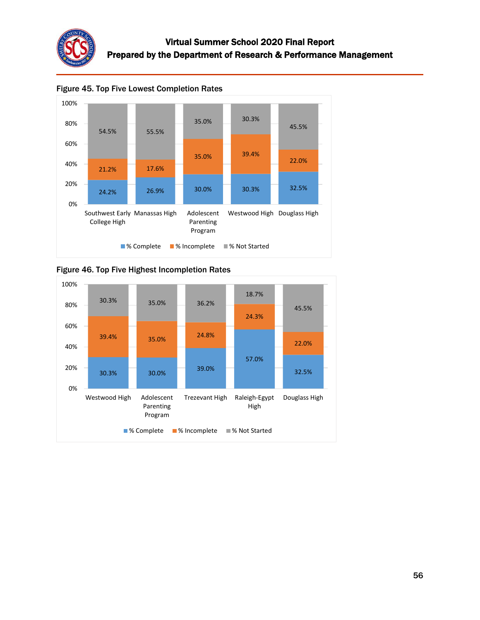



Figure 45. Top Five Lowest Completion Rates



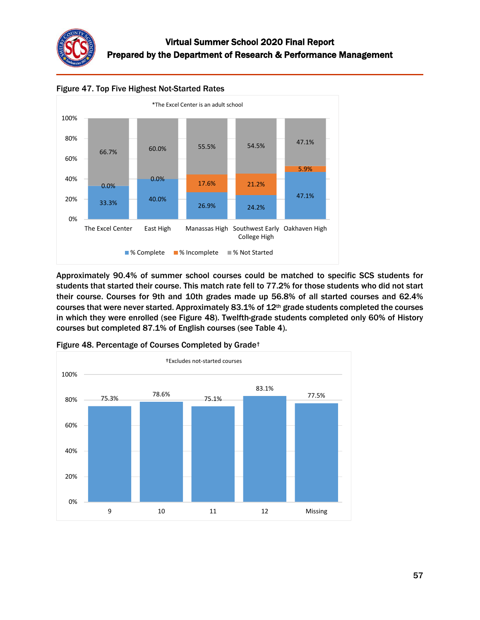



Figure 47. Top Five Highest Not-Started Rates

Approximately 90.4% of summer school courses could be matched to specific SCS students for students that started their course. This match rate fell to 77.2% for those students who did not start their course. Courses for 9th and 10th grades made up 56.8% of all started courses and 62.4% courses that were never started. Approximately 83.1% of 12th grade students completed the courses in which they were enrolled (see Figure 48). Twelfth-grade students completed only 60% of History courses but completed 87.1% of English courses (see Table 4).



Figure 48. Percentage of Courses Completed by Grade†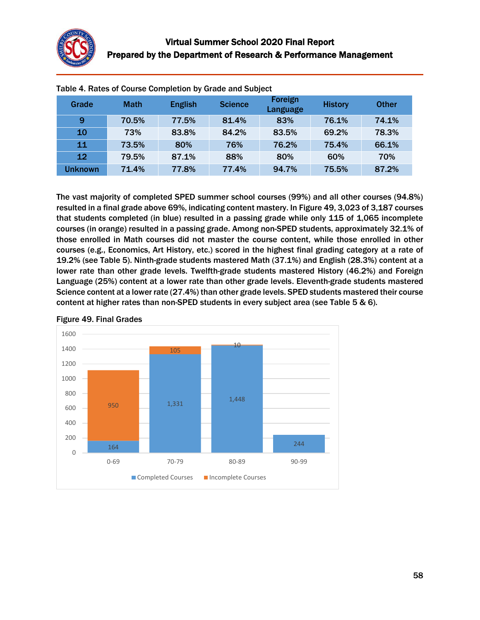

| rable <b>+</b> . Rates or course completion by Graue and Subject |             |                |                |                     |                |              |  |  |
|------------------------------------------------------------------|-------------|----------------|----------------|---------------------|----------------|--------------|--|--|
| Grade                                                            | <b>Math</b> | <b>English</b> | <b>Science</b> | Foreign<br>Language | <b>History</b> | <b>Other</b> |  |  |
| 9                                                                | 70.5%       | 77.5%          | 81.4%          | 83%                 | 76.1%          | 74.1%        |  |  |
| 10                                                               | 73%         | 83.8%          | 84.2%          | 83.5%               | 69.2%          | 78.3%        |  |  |
| 11                                                               | 73.5%       | 80%            | 76%            | 76.2%               | 75.4%          | 66.1%        |  |  |
| 12                                                               | 79.5%       | 87.1%          | 88%            | 80%                 | 60%            | 70%          |  |  |
| <b>Unknown</b>                                                   | 71.4%       | 77.8%          | 77.4%          | 94.7%               | 75.5%          | 87.2%        |  |  |

Table 4. Rates of Course Completion by Grade and Subject

The vast majority of completed SPED summer school courses (99%) and all other courses (94.8%) resulted in a final grade above 69%, indicating content mastery. In Figure 49, 3,023 of 3,187 courses that students completed (in blue) resulted in a passing grade while only 115 of 1,065 incomplete courses (in orange) resulted in a passing grade. Among non-SPED students, approximately 32.1% of those enrolled in Math courses did not master the course content, while those enrolled in other courses (e.g., Economics, Art History, etc.) scored in the highest final grading category at a rate of 19.2% (see Table 5). Ninth-grade students mastered Math (37.1%) and English (28.3%) content at a lower rate than other grade levels. Twelfth-grade students mastered History (46.2%) and Foreign Language (25%) content at a lower rate than other grade levels. Eleventh-grade students mastered Science content at a lower rate (27.4%) than other grade levels. SPED students mastered their course content at higher rates than non-SPED students in every subject area (see Table 5 & 6).



#### Figure 49. Final Grades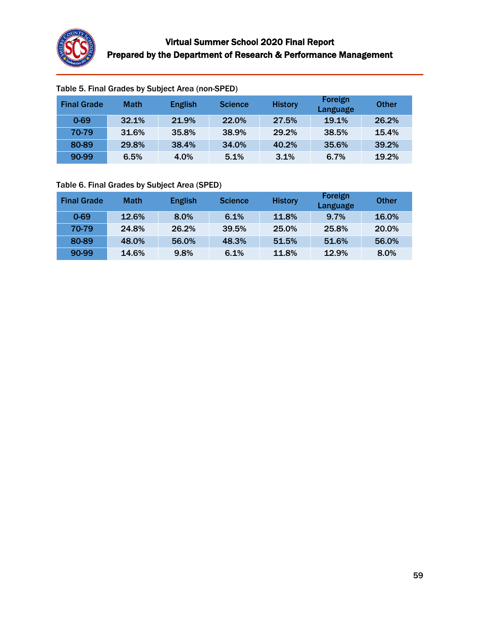

| <b>Final Grade</b> | <b>Math</b> | <b>English</b> | <b>Science</b> | <b>History</b> | Foreign<br>Language | <b>Other</b> |
|--------------------|-------------|----------------|----------------|----------------|---------------------|--------------|
| $0 - 69$           | 32.1%       | 21.9%          | 22.0%          | 27.5%          | 19.1%               | 26.2%        |
| 70-79              | 31.6%       | 35.8%          | 38.9%          | 29.2%          | 38.5%               | 15.4%        |
| 80-89              | 29.8%       | 38.4%          | 34.0%          | 40.2%          | 35.6%               | 39.2%        |
| 90-99              | 6.5%        | 4.0%           | 5.1%           | 3.1%           | 6.7%                | 19.2%        |

# Table 5. Final Grades by Subject Area (non-SPED)

### Table 6. Final Grades by Subject Area (SPED)

| <b>Final Grade</b> | <b>Math</b> | <b>English</b> | <b>Science</b> | <b>History</b> | Foreign<br>Language | <b>Other</b> |
|--------------------|-------------|----------------|----------------|----------------|---------------------|--------------|
| $0 - 69$           | 12.6%       | 8.0%           | 6.1%           | 11.8%          | 9.7%                | 16.0%        |
| 70-79              | 24.8%       | 26.2%          | 39.5%          | 25.0%          | 25.8%               | 20.0%        |
| 80-89              | 48.0%       | 56.0%          | 48.3%          | 51.5%          | 51.6%               | 56.0%        |
| 90-99              | 14.6%       | 9.8%           | 6.1%           | 11.8%          | 12.9%               | 8.0%         |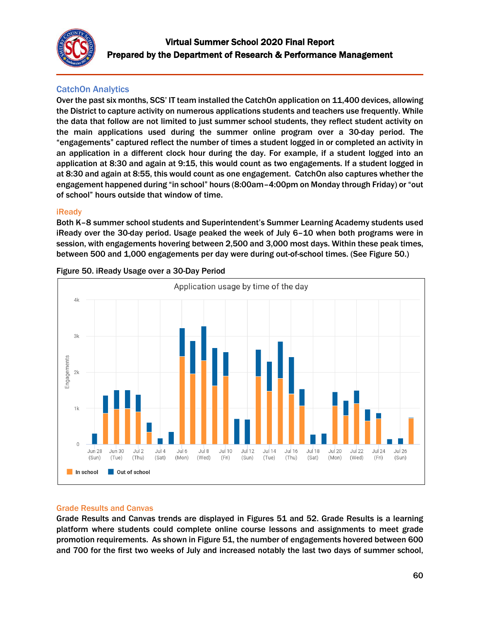

# <span id="page-59-0"></span>CatchOn Analytics

Over the past six months, SCS' IT team installed the CatchOn application on 11,400 devices, allowing the District to capture activity on numerous applications students and teachers use frequently. While the data that follow are not limited to just summer school students, they reflect student activity on the main applications used during the summer online program over a 30-day period. The "engagements" captured reflect the number of times a student logged in or completed an activity in an application in a different clock hour during the day. For example, if a student logged into an application at 8:30 and again at 9:15, this would count as two engagements. If a student logged in at 8:30 and again at 8:55, this would count as one engagement. CatchOn also captures whether the engagement happened during "in school" hours (8:00am–4:00pm on Monday through Friday) or "out of school" hours outside that window of time.

### iReady

Both K–8 summer school students and Superintendent's Summer Learning Academy students used iReady over the 30-day period. Usage peaked the week of July 6–10 when both programs were in session, with engagements hovering between 2,500 and 3,000 most days. Within these peak times, between 500 and 1,000 engagements per day were during out-of-school times. (See Figure 50.)



Figure 50. iReady Usage over a 30-Day Period

### Grade Results and Canvas

Grade Results and Canvas trends are displayed in Figures 51 and 52. Grade Results is a learning platform where students could complete online course lessons and assignments to meet grade promotion requirements. As shown in Figure 51, the number of engagements hovered between 600 and 700 for the first two weeks of July and increased notably the last two days of summer school,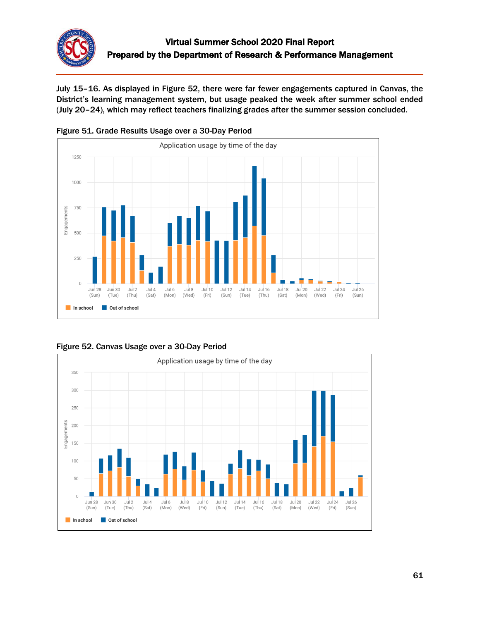

July 15–16. As displayed in Figure 52, there were far fewer engagements captured in Canvas, the District's learning management system, but usage peaked the week after summer school ended (July 20–24), which may reflect teachers finalizing grades after the summer session concluded.





Figure 52. Canvas Usage over a 30-Day Period